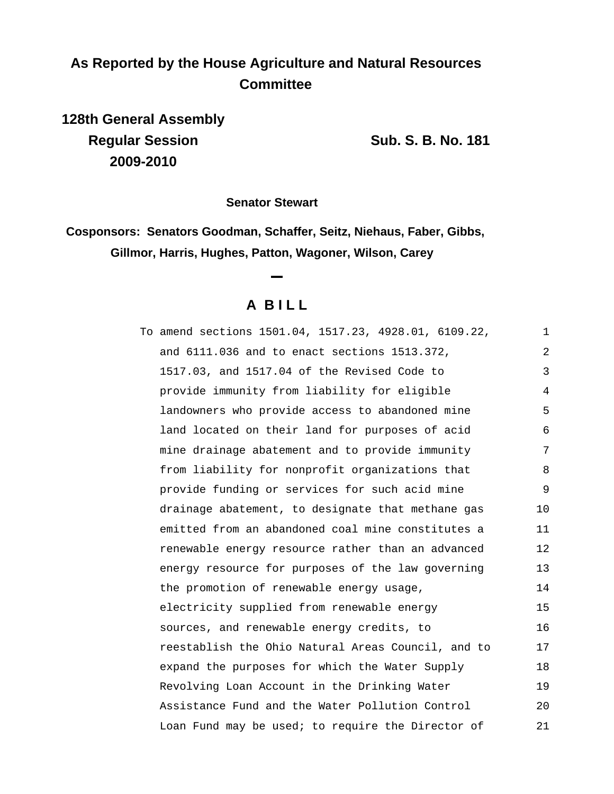# **As Reported by the House Agriculture and Natural Resources Committee**

**128th General Assembly Regular Session Sub. S. B. No. 181 2009-2010**

**Senator Stewart**

**Cosponsors: Senators Goodman, Schaffer, Seitz, Niehaus, Faber, Gibbs, Gillmor, Harris, Hughes, Patton, Wagoner, Wilson, Carey**

# **A B I L L**

| To amend sections 1501.04, 1517.23, 4928.01, 6109.22, | $\mathbf 1$ |
|-------------------------------------------------------|-------------|
| and 6111.036 and to enact sections 1513.372,          | 2           |
| 1517.03, and 1517.04 of the Revised Code to           | 3           |
| provide immunity from liability for eligible          | 4           |
| landowners who provide access to abandoned mine       | 5           |
| land located on their land for purposes of acid       | 6           |
| mine drainage abatement and to provide immunity       | 7           |
| from liability for nonprofit organizations that       | 8           |
| provide funding or services for such acid mine        | 9           |
| drainage abatement, to designate that methane gas     | 10          |
| emitted from an abandoned coal mine constitutes a     | 11          |
| renewable energy resource rather than an advanced     | 12          |
| energy resource for purposes of the law governing     | 13          |
| the promotion of renewable energy usage,              | 14          |
| electricity supplied from renewable energy            | 15          |
| sources, and renewable energy credits, to             | 16          |
| reestablish the Ohio Natural Areas Council, and to    | 17          |
| expand the purposes for which the Water Supply        | 18          |
| Revolving Loan Account in the Drinking Water          | 19          |
| Assistance Fund and the Water Pollution Control       | 20          |
| Loan Fund may be used; to require the Director of     | 21          |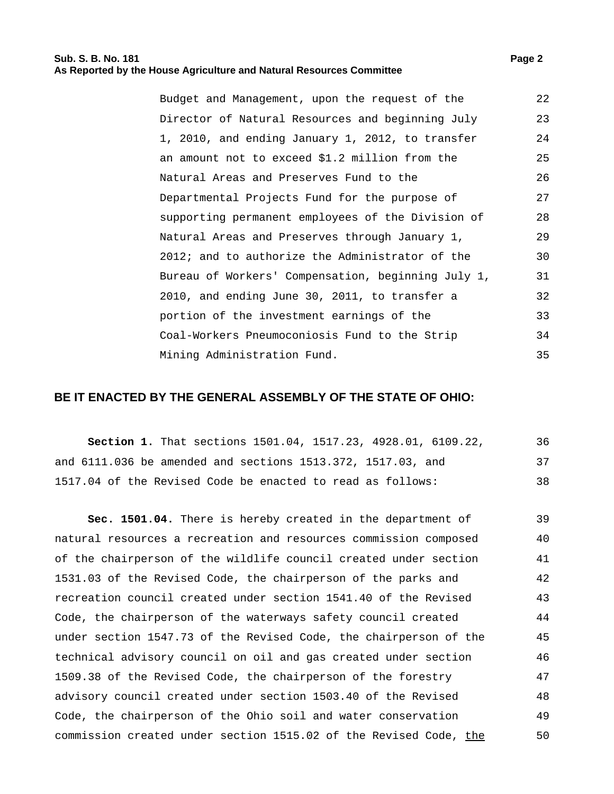| Budget and Management, upon the request of the     | 22 |
|----------------------------------------------------|----|
| Director of Natural Resources and beginning July   | 23 |
| 1, 2010, and ending January 1, 2012, to transfer   | 24 |
| an amount not to exceed \$1.2 million from the     | 25 |
| Natural Areas and Preserves Fund to the            | 26 |
| Departmental Projects Fund for the purpose of      | 27 |
| supporting permanent employees of the Division of  | 28 |
| Natural Areas and Preserves through January 1,     | 29 |
| 2012; and to authorize the Administrator of the    | 30 |
| Bureau of Workers' Compensation, beginning July 1, | 31 |
| 2010, and ending June 30, 2011, to transfer a      | 32 |
| portion of the investment earnings of the          | 33 |
| Coal-Workers Pneumoconiosis Fund to the Strip      | 34 |
| Mining Administration Fund.                        | 35 |

# **BE IT ENACTED BY THE GENERAL ASSEMBLY OF THE STATE OF OHIO:**

| <b>Section 1.</b> That sections 1501.04, 1517.23, 4928.01, 6109.22, | 36 |
|---------------------------------------------------------------------|----|
| and 6111.036 be amended and sections 1513.372, 1517.03, and         | 37 |
| 1517.04 of the Revised Code be enacted to read as follows:          | 38 |

**Sec. 1501.04.** There is hereby created in the department of natural resources a recreation and resources commission composed of the chairperson of the wildlife council created under section 1531.03 of the Revised Code, the chairperson of the parks and recreation council created under section 1541.40 of the Revised Code, the chairperson of the waterways safety council created under section 1547.73 of the Revised Code, the chairperson of the technical advisory council on oil and gas created under section 1509.38 of the Revised Code, the chairperson of the forestry advisory council created under section 1503.40 of the Revised Code, the chairperson of the Ohio soil and water conservation commission created under section 1515.02 of the Revised Code, the 39 40 41 42 43 44 45 46 47 48 49 50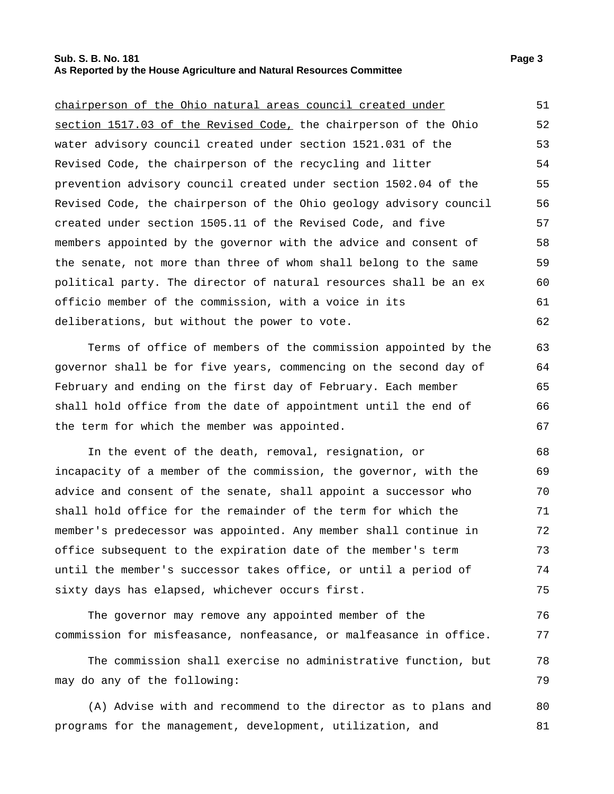| chairperson of the Ohio natural areas council created under        | 51 |
|--------------------------------------------------------------------|----|
| section 1517.03 of the Revised Code, the chairperson of the Ohio   | 52 |
| water advisory council created under section 1521.031 of the       | 53 |
| Revised Code, the chairperson of the recycling and litter          | 54 |
| prevention advisory council created under section 1502.04 of the   | 55 |
| Revised Code, the chairperson of the Ohio geology advisory council | 56 |
| created under section 1505.11 of the Revised Code, and five        | 57 |
| members appointed by the governor with the advice and consent of   | 58 |
| the senate, not more than three of whom shall belong to the same   | 59 |
| political party. The director of natural resources shall be an ex  | 60 |
| officio member of the commission, with a voice in its              | 61 |
| deliberations, but without the power to vote.                      | 62 |
| Terms of office of members of the commission appointed by the      | 63 |
| governor shall be for five years, commencing on the second day of  | 64 |
| February and ending on the first day of February. Each member      | 65 |
| shall hold office from the date of appointment until the end of    | 66 |
| the term for which the member was appointed.                       | 67 |
| In the event of the death, removal, resignation, or                | 68 |
| incapacity of a member of the commission, the governor, with the   | 69 |
| advice and consent of the senate, shall appoint a successor who    | 70 |
| shall hold office for the remainder of the term for which the      | 71 |
| member's predecessor was appointed. Any member shall continue in   | 72 |
| office subsequent to the expiration date of the member's term      | 73 |
| until the member's successor takes office, or until a period of    | 74 |
| sixty days has elapsed, whichever occurs first.                    | 75 |
| The governor may remove any appointed member of the                | 76 |
| commission for misfeasance, nonfeasance, or malfeasance in office. | 77 |

The commission shall exercise no administrative function, but may do any of the following: 78 79

(A) Advise with and recommend to the director as to plans and programs for the management, development, utilization, and 80 81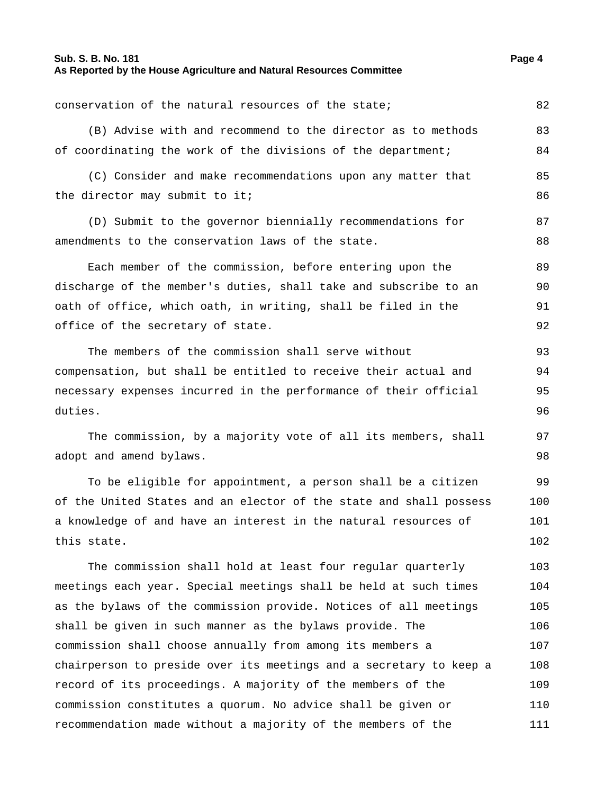### **Sub. S. B. No. 181 Page 4 As Reported by the House Agriculture and Natural Resources Committee**

| (B) Advise with and recommend to the director as to methods        | 83  |
|--------------------------------------------------------------------|-----|
| of coordinating the work of the divisions of the department;       | 84  |
| (C) Consider and make recommendations upon any matter that         | 85  |
| the director may submit to it;                                     | 86  |
| (D) Submit to the governor biennially recommendations for          | 87  |
| amendments to the conservation laws of the state.                  | 88  |
| Each member of the commission, before entering upon the            | 89  |
| discharge of the member's duties, shall take and subscribe to an   | 90  |
| oath of office, which oath, in writing, shall be filed in the      | 91  |
| office of the secretary of state.                                  | 92  |
| The members of the commission shall serve without                  | 93  |
| compensation, but shall be entitled to receive their actual and    | 94  |
| necessary expenses incurred in the performance of their official   | 95  |
| duties.                                                            | 96  |
| The commission, by a majority vote of all its members, shall       | 97  |
| adopt and amend bylaws.                                            | 98  |
| To be eligible for appointment, a person shall be a citizen        | 99  |
| of the United States and an elector of the state and shall possess | 100 |
| a knowledge of and have an interest in the natural resources of    | 101 |
| this state.                                                        | 102 |
| The commission shall hold at least four regular quarterly          | 103 |
| meetings each year. Special meetings shall be held at such times   | 104 |
| as the bylaws of the commission provide. Notices of all meetings   | 105 |
| shall be given in such manner as the bylaws provide. The           | 106 |
| commission shall choose annually from among its members a          | 107 |
| chairperson to preside over its meetings and a secretary to keep a | 108 |
| record of its proceedings. A majority of the members of the        | 109 |
| commission constitutes a quorum. No advice shall be given or       | 110 |
| recommendation made without a majority of the members of the       | 111 |

conservation of the natural resources of the state; example the state of the state;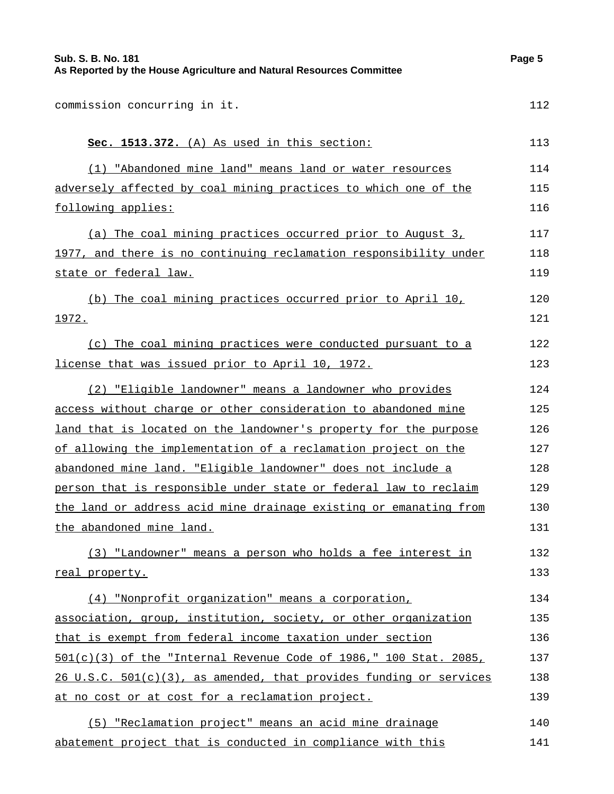| Sub. S. B. No. 181<br>As Reported by the House Agriculture and Natural Resources Committee | Page 5 |
|--------------------------------------------------------------------------------------------|--------|
| commission concurring in it.                                                               | 112    |
| Sec. 1513.372. (A) As used in this section:                                                | 113    |
| (1) "Abandoned mine land" means land or water resources                                    | 114    |
| adversely affected by coal mining practices to which one of the                            | 115    |
| following applies:                                                                         | 116    |
| (a) The coal mining practices occurred prior to August 3,                                  | 117    |
| 1977, and there is no continuing reclamation responsibility under                          | 118    |
| state or federal law.                                                                      | 119    |
| The coal mining practices occurred prior to April 10,<br>(b)                               | 120    |
| 1972.                                                                                      | 121    |
| (c) The coal mining practices were conducted pursuant to a                                 | 122    |
| license that was issued prior to April 10, 1972.                                           | 123    |
| (2) "Eligible landowner" means a landowner who provides                                    | 124    |
| access without charge or other consideration to abandoned mine                             | 125    |
| land that is located on the landowner's property for the purpose                           | 126    |
| of allowing the implementation of a reclamation project on the                             | 127    |
| abandoned mine land. "Eligible landowner" does not include a                               | 128    |
| person that is responsible under state or federal law to reclaim                           | 129    |
| the land or address acid mine drainage existing or emanating from                          | 130    |
| the abandoned mine land.                                                                   | 131    |
| (3) "Landowner" means a person who holds a fee interest in                                 | 132    |
| <u>real property.</u>                                                                      | 133    |
| (4) "Nonprofit organization" means a corporation,                                          | 134    |
| association, group, institution, society, or other organization                            | 135    |
| that is exempt from federal income taxation under section                                  | 136    |
| $501(c)(3)$ of the "Internal Revenue Code of 1986," 100 Stat. 2085,                        | 137    |
| $26$ U.S.C. $501(c)(3)$ , as amended, that provides funding or services                    | 138    |
| at no cost or at cost for a reclamation project.                                           | 139    |
| (5) "Reclamation project" means an acid mine drainage                                      | 140    |
| abatement project that is conducted in compliance with this                                | 141    |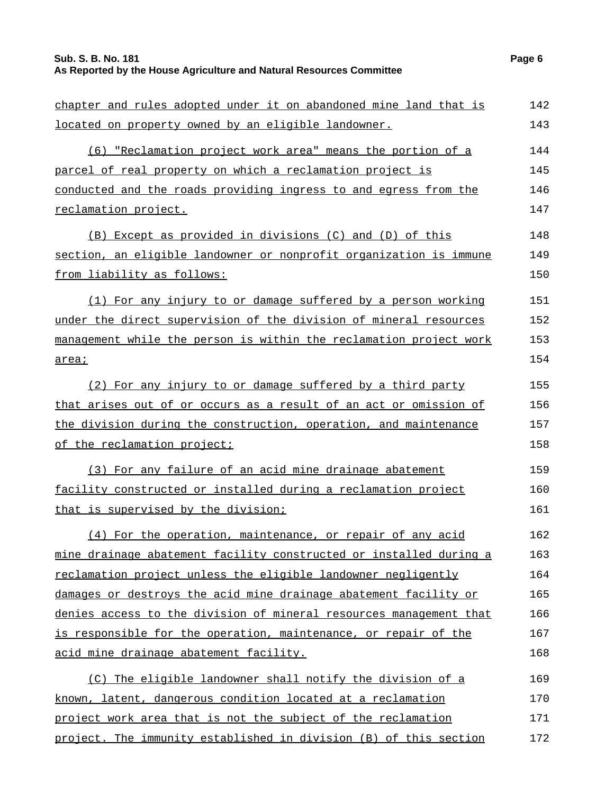## **Sub. S. B. No. 181 Page 6 As Reported by the House Agriculture and Natural Resources Committee**

| chapter and rules adopted under it on abandoned mine land that is  | 142 |
|--------------------------------------------------------------------|-----|
| located on property owned by an eligible landowner.                | 143 |
| (6) "Reclamation project work area" means the portion of a         | 144 |
| parcel of real property on which a reclamation project is          | 145 |
| conducted and the roads providing ingress to and egress from the   | 146 |
| reclamation project.                                               | 147 |
| (B) Except as provided in divisions (C) and (D) of this            | 148 |
| section, an eligible landowner or nonprofit organization is immune | 149 |
| from liability as follows:                                         | 150 |
| (1) For any injury to or damage suffered by a person working       | 151 |
| under the direct supervision of the division of mineral resources  | 152 |
| management while the person is within the reclamation project work | 153 |
| area;                                                              | 154 |
| (2) For any injury to or damage suffered by a third party          | 155 |
| that arises out of or occurs as a result of an act or omission of  | 156 |
| the division during the construction, operation, and maintenance   | 157 |
| of the reclamation project;                                        | 158 |
| (3) For any failure of an acid mine drainage abatement             | 159 |
| facility constructed or installed during a reclamation project     | 160 |
| that is supervised by the division;                                | 161 |
| (4) For the operation, maintenance, or repair of any acid          | 162 |
| mine drainage abatement facility constructed or installed during a | 163 |
| reclamation project unless the eligible landowner negligently      | 164 |
| damages or destroys the acid mine drainage abatement facility or   | 165 |
| denies access to the division of mineral resources management that | 166 |
| is responsible for the operation, maintenance, or repair of the    | 167 |
| acid mine drainage abatement facility.                             | 168 |
| (C) The eligible landowner shall notify the division of a          | 169 |
| known, latent, dangerous condition located at a reclamation        | 170 |
| project work area that is not the subject of the reclamation       | 171 |
| project. The immunity established in division (B) of this section  | 172 |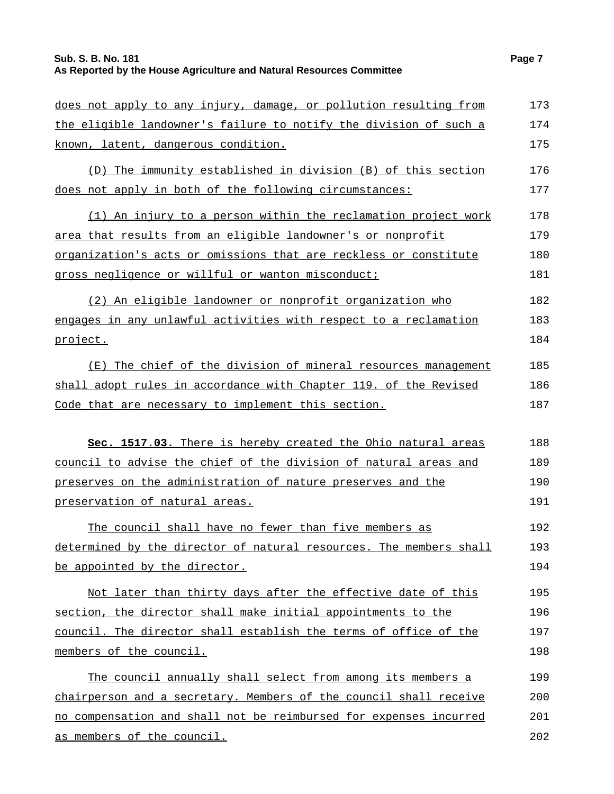### **Sub. S. B. No. 181 Page 7 As Reported by the House Agriculture and Natural Resources Committee**

| does not apply to any injury, damage, or pollution resulting from  | 173 |
|--------------------------------------------------------------------|-----|
| the eligible landowner's failure to notify the division of such a  | 174 |
| known, latent, dangerous condition.                                | 175 |
| (D) The immunity established in division (B) of this section       | 176 |
| does not apply in both of the following circumstances:             | 177 |
| (1) An injury to a person within the reclamation project work      | 178 |
| area that results from an eligible landowner's or nonprofit        | 179 |
| organization's acts or omissions that are reckless or constitute   | 180 |
| gross negligence or willful or wanton misconduct;                  | 181 |
| (2) An eligible landowner or nonprofit organization who            | 182 |
| engages in any unlawful activities with respect to a reclamation   | 183 |
| project.                                                           | 184 |
| (E) The chief of the division of mineral resources management      | 185 |
| shall adopt rules in accordance with Chapter 119. of the Revised   | 186 |
| Code that are necessary to implement this section.                 | 187 |
| sec. 1517.03. There is hereby created the Ohio natural areas       | 188 |
| council to advise the chief of the division of natural areas and   | 189 |
| preserves on the administration of nature preserves and the        | 190 |
| preservation of natural areas.                                     | 191 |
|                                                                    |     |
| The council shall have no fewer than five members as               | 192 |
| determined by the director of natural resources. The members shall | 193 |
| be appointed by the director.                                      | 194 |
| Not later than thirty days after the effective date of this        | 195 |
| section, the director shall make initial appointments to the       | 196 |
| council. The director shall establish the terms of office of the   | 197 |
| members of the council.                                            | 198 |
| The council annually shall select from among its members a         | 199 |
| chairperson and a secretary. Members of the council shall receive  | 200 |
| no compensation and shall not be reimbursed for expenses incurred  | 201 |
| as members of the council.                                         | 202 |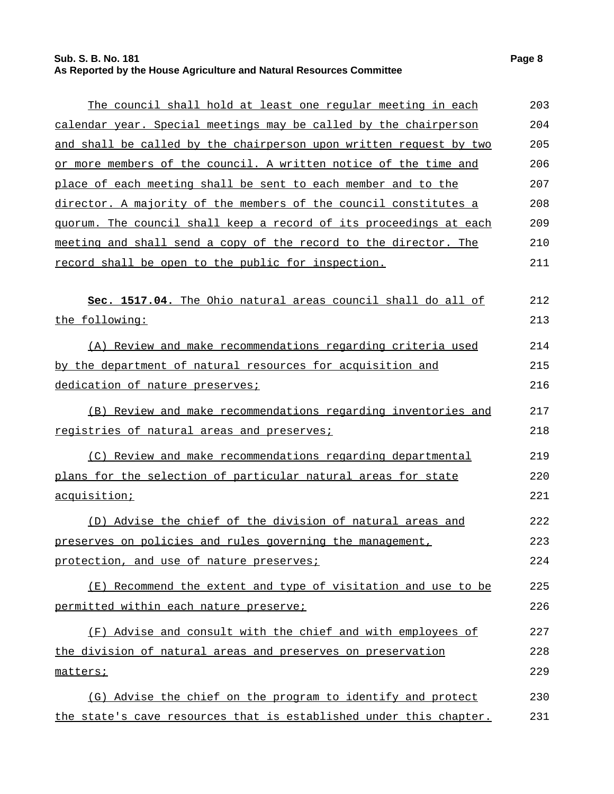## **Sub. S. B. No. 181 Page 8 As Reported by the House Agriculture and Natural Resources Committee**

| The council shall hold at least one reqular meeting in each        | 203 |
|--------------------------------------------------------------------|-----|
| calendar year. Special meetings may be called by the chairperson   | 204 |
| and shall be called by the chairperson upon written request by two | 205 |
| or more members of the council. A written notice of the time and   | 206 |
| place of each meeting shall be sent to each member and to the      | 207 |
| director. A majority of the members of the council constitutes a   | 208 |
| guorum. The council shall keep a record of its proceedings at each | 209 |
| meeting and shall send a copy of the record to the director. The   | 210 |
| record shall be open to the public for inspection.                 | 211 |
| Sec. 1517.04. The Ohio natural areas council shall do all of       | 212 |
| the following:                                                     | 213 |
| (A) Review and make recommendations regarding criteria used        | 214 |
| by the department of natural resources for acquisition and         | 215 |
| dedication of nature preserves;                                    | 216 |
| (B) Review and make recommendations regarding inventories and      | 217 |
| registries of natural areas and preserves;                         | 218 |
| (C) Review and make recommendations regarding departmental         | 219 |
| plans for the selection of particular natural areas for state      | 220 |
| acquisition;                                                       | 221 |
| (D) Advise the chief of the division of natural areas and          | 222 |
| preserves on policies and rules governing the management,          | 223 |
| protection, and use of nature preserves;                           | 224 |
| (E) Recommend the extent and type of visitation and use to be      | 225 |
| permitted within each nature preserve;                             | 226 |
| (F) Advise and consult with the chief and with employees of        | 227 |
| the division of natural areas and preserves on preservation        | 228 |
| matters;                                                           | 229 |
| (G) Advise the chief on the program to identify and protect        | 230 |
| the state's cave resources that is established under this chapter. | 231 |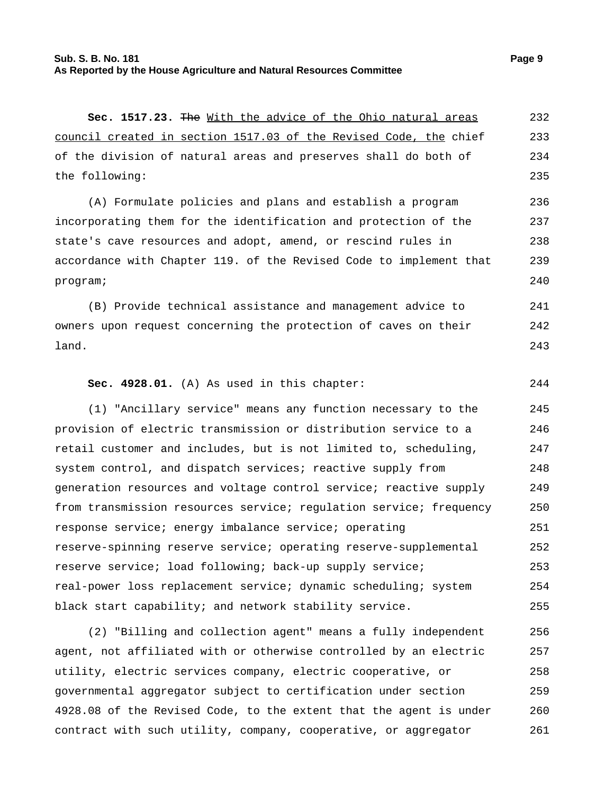| sec. 1517.23. The With the advice of the Ohio natural areas        | 232 |
|--------------------------------------------------------------------|-----|
| council created in section 1517.03 of the Revised Code, the chief  | 233 |
| of the division of natural areas and preserves shall do both of    | 234 |
| the following:                                                     | 235 |
| (A) Formulate policies and plans and establish a program           | 236 |
| incorporating them for the identification and protection of the    | 237 |
| state's cave resources and adopt, amend, or rescind rules in       | 238 |
| accordance with Chapter 119. of the Revised Code to implement that | 239 |
| program;                                                           | 240 |
| (B) Provide technical assistance and management advice to          | 241 |
| owners upon request concerning the protection of caves on their    | 242 |
| land.                                                              | 243 |
| Sec. 4928.01. (A) As used in this chapter:                         | 244 |
|                                                                    |     |
| (1) "Ancillary service" means any function necessary to the        | 245 |
| provision of electric transmission or distribution service to a    | 246 |
| retail customer and includes, but is not limited to, scheduling,   | 247 |
|                                                                    | 248 |
| system control, and dispatch services; reactive supply from        |     |
| generation resources and voltage control service; reactive supply  | 249 |
| from transmission resources service; regulation service; frequency | 250 |
| response service; energy imbalance service; operating              | 251 |
| reserve-spinning reserve service; operating reserve-supplemental   | 252 |
| reserve service; load following; back-up supply service;           | 253 |
| real-power loss replacement service; dynamic scheduling; system    | 254 |
| black start capability; and network stability service.             | 255 |

(2) "Billing and collection agent" means a fully independent agent, not affiliated with or otherwise controlled by an electric utility, electric services company, electric cooperative, or governmental aggregator subject to certification under section 4928.08 of the Revised Code, to the extent that the agent is under contract with such utility, company, cooperative, or aggregator 256 257 258 259 260 261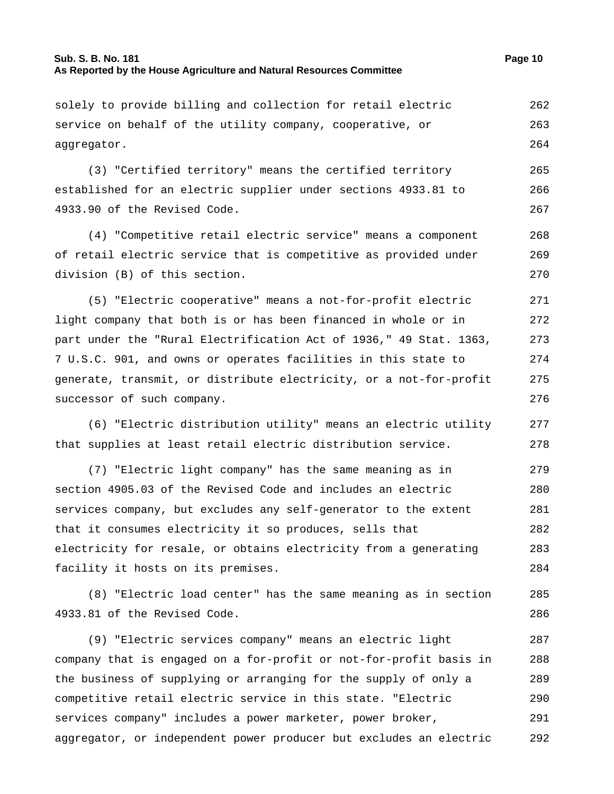# **Sub. S. B. No. 181 Page 10**

### **As Reported by the House Agriculture and Natural Resources Committee**

solely to provide billing and collection for retail electric service on behalf of the utility company, cooperative, or aggregator. 262 263 264

(3) "Certified territory" means the certified territory established for an electric supplier under sections 4933.81 to 4933.90 of the Revised Code. 265 266 267

(4) "Competitive retail electric service" means a component of retail electric service that is competitive as provided under division (B) of this section. 268 269 270

(5) "Electric cooperative" means a not-for-profit electric light company that both is or has been financed in whole or in part under the "Rural Electrification Act of 1936," 49 Stat. 1363, 7 U.S.C. 901, and owns or operates facilities in this state to generate, transmit, or distribute electricity, or a not-for-profit successor of such company. 271 272 273 274 275 276

(6) "Electric distribution utility" means an electric utility that supplies at least retail electric distribution service. 277 278

(7) "Electric light company" has the same meaning as in section 4905.03 of the Revised Code and includes an electric services company, but excludes any self-generator to the extent that it consumes electricity it so produces, sells that electricity for resale, or obtains electricity from a generating facility it hosts on its premises. 279 280 281 282 283 284

(8) "Electric load center" has the same meaning as in section 4933.81 of the Revised Code. 285 286

(9) "Electric services company" means an electric light company that is engaged on a for-profit or not-for-profit basis in the business of supplying or arranging for the supply of only a competitive retail electric service in this state. "Electric services company" includes a power marketer, power broker, aggregator, or independent power producer but excludes an electric 287 288 289 290 291 292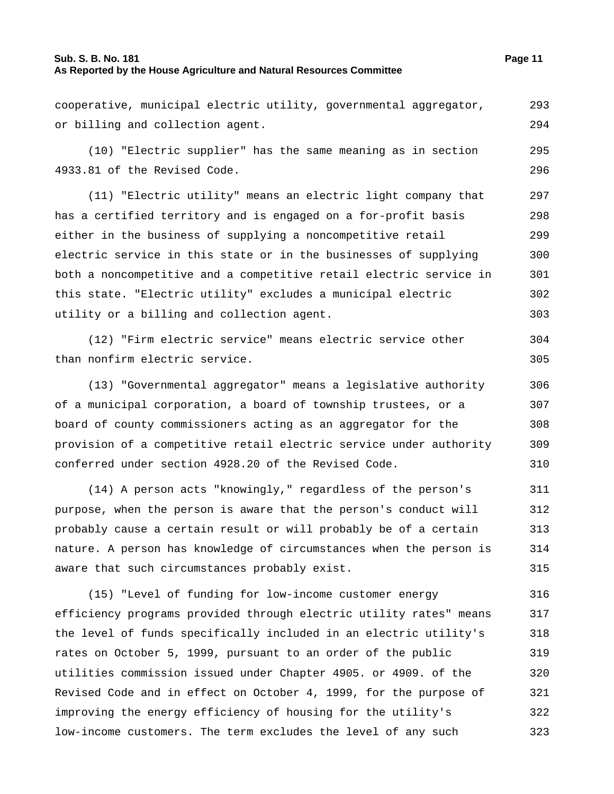#### **Sub. S. B. No. 181 Page 11 As Reported by the House Agriculture and Natural Resources Committee**

cooperative, municipal electric utility, governmental aggregator, or billing and collection agent. 293 294 (10) "Electric supplier" has the same meaning as in section 4933.81 of the Revised Code. 295 296 (11) "Electric utility" means an electric light company that has a certified territory and is engaged on a for-profit basis either in the business of supplying a noncompetitive retail electric service in this state or in the businesses of supplying both a noncompetitive and a competitive retail electric service in this state. "Electric utility" excludes a municipal electric utility or a billing and collection agent. 297 298 299 300 301 302 303

(12) "Firm electric service" means electric service other than nonfirm electric service. 304 305

(13) "Governmental aggregator" means a legislative authority of a municipal corporation, a board of township trustees, or a board of county commissioners acting as an aggregator for the provision of a competitive retail electric service under authority conferred under section 4928.20 of the Revised Code. 306 307 308 309 310

(14) A person acts "knowingly," regardless of the person's purpose, when the person is aware that the person's conduct will probably cause a certain result or will probably be of a certain nature. A person has knowledge of circumstances when the person is aware that such circumstances probably exist. 311 312 313 314 315

(15) "Level of funding for low-income customer energy efficiency programs provided through electric utility rates" means the level of funds specifically included in an electric utility's rates on October 5, 1999, pursuant to an order of the public utilities commission issued under Chapter 4905. or 4909. of the Revised Code and in effect on October 4, 1999, for the purpose of improving the energy efficiency of housing for the utility's low-income customers. The term excludes the level of any such 316 317 318 319 320 321 322 323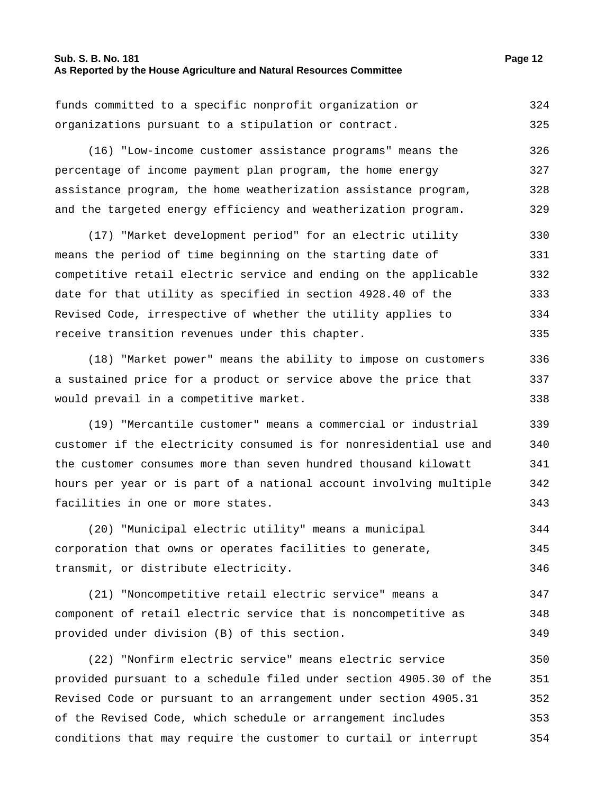#### **Sub. S. B. No. 181 Page 12 As Reported by the House Agriculture and Natural Resources Committee**

funds committed to a specific nonprofit organization or organizations pursuant to a stipulation or contract. 324 325

(16) "Low-income customer assistance programs" means the percentage of income payment plan program, the home energy assistance program, the home weatherization assistance program, and the targeted energy efficiency and weatherization program. 326 327 328 329

(17) "Market development period" for an electric utility means the period of time beginning on the starting date of competitive retail electric service and ending on the applicable date for that utility as specified in section 4928.40 of the Revised Code, irrespective of whether the utility applies to receive transition revenues under this chapter. 330 331 332 333 334 335

(18) "Market power" means the ability to impose on customers a sustained price for a product or service above the price that would prevail in a competitive market. 336 337 338

(19) "Mercantile customer" means a commercial or industrial customer if the electricity consumed is for nonresidential use and the customer consumes more than seven hundred thousand kilowatt hours per year or is part of a national account involving multiple facilities in one or more states. 339 340 341 342 343

(20) "Municipal electric utility" means a municipal corporation that owns or operates facilities to generate, transmit, or distribute electricity. 344 345 346

(21) "Noncompetitive retail electric service" means a component of retail electric service that is noncompetitive as provided under division (B) of this section. 347 348 349

(22) "Nonfirm electric service" means electric service provided pursuant to a schedule filed under section 4905.30 of the Revised Code or pursuant to an arrangement under section 4905.31 of the Revised Code, which schedule or arrangement includes conditions that may require the customer to curtail or interrupt 350 351 352 353 354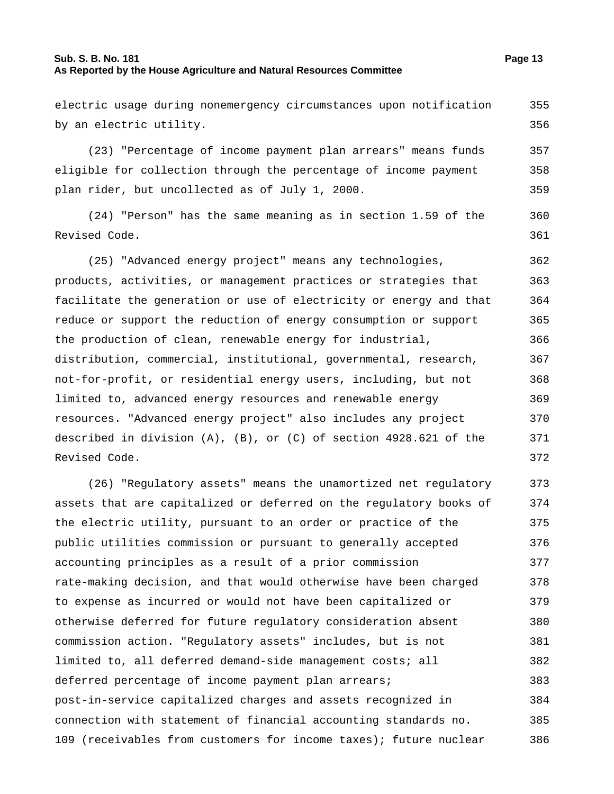#### **Sub. S. B. No. 181 Page 13 As Reported by the House Agriculture and Natural Resources Committee**

electric usage during nonemergency circumstances upon notification

355

by an electric utility. 356 (23) "Percentage of income payment plan arrears" means funds eligible for collection through the percentage of income payment plan rider, but uncollected as of July 1, 2000. 357 358 359 (24) "Person" has the same meaning as in section 1.59 of the Revised Code. 360 361 (25) "Advanced energy project" means any technologies, products, activities, or management practices or strategies that facilitate the generation or use of electricity or energy and that reduce or support the reduction of energy consumption or support the production of clean, renewable energy for industrial, distribution, commercial, institutional, governmental, research, not-for-profit, or residential energy users, including, but not limited to, advanced energy resources and renewable energy resources. "Advanced energy project" also includes any project described in division (A), (B), or (C) of section 4928.621 of the Revised Code. 362 363 364 365 366 367 368 369 370 371 372 (26) "Regulatory assets" means the unamortized net regulatory assets that are capitalized or deferred on the regulatory books of the electric utility, pursuant to an order or practice of the public utilities commission or pursuant to generally accepted accounting principles as a result of a prior commission rate-making decision, and that would otherwise have been charged to expense as incurred or would not have been capitalized or otherwise deferred for future regulatory consideration absent commission action. "Regulatory assets" includes, but is not limited to, all deferred demand-side management costs; all deferred percentage of income payment plan arrears; post-in-service capitalized charges and assets recognized in connection with statement of financial accounting standards no. 109 (receivables from customers for income taxes); future nuclear 373 374 375 376 377 378 379 380 381 382 383 384 385 386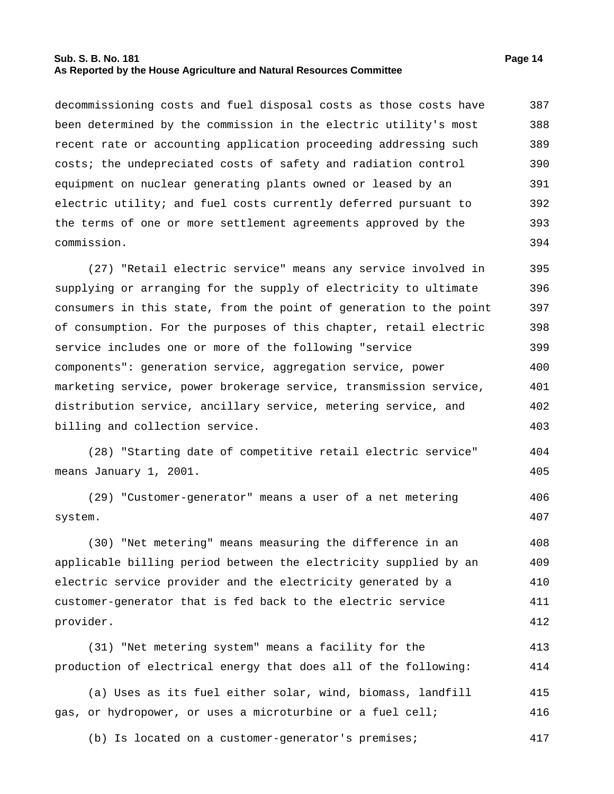#### **Sub. S. B. No. 181 Page 14 As Reported by the House Agriculture and Natural Resources Committee**

decommissioning costs and fuel disposal costs as those costs have been determined by the commission in the electric utility's most recent rate or accounting application proceeding addressing such costs; the undepreciated costs of safety and radiation control equipment on nuclear generating plants owned or leased by an electric utility; and fuel costs currently deferred pursuant to the terms of one or more settlement agreements approved by the commission. 387 388 389 390 391 392 393 394

(27) "Retail electric service" means any service involved in supplying or arranging for the supply of electricity to ultimate consumers in this state, from the point of generation to the point of consumption. For the purposes of this chapter, retail electric service includes one or more of the following "service components": generation service, aggregation service, power marketing service, power brokerage service, transmission service, distribution service, ancillary service, metering service, and billing and collection service. 395 396 397 398 399 400 401 402 403

(28) "Starting date of competitive retail electric service" means January 1, 2001. 404 405

(29) "Customer-generator" means a user of a net metering system. 406 407

(30) "Net metering" means measuring the difference in an applicable billing period between the electricity supplied by an electric service provider and the electricity generated by a customer-generator that is fed back to the electric service provider. 408 409 410 411 412

(31) "Net metering system" means a facility for the production of electrical energy that does all of the following: 413 414

(a) Uses as its fuel either solar, wind, biomass, landfill gas, or hydropower, or uses a microturbine or a fuel cell; 415 416

(b) Is located on a customer-generator's premises; 417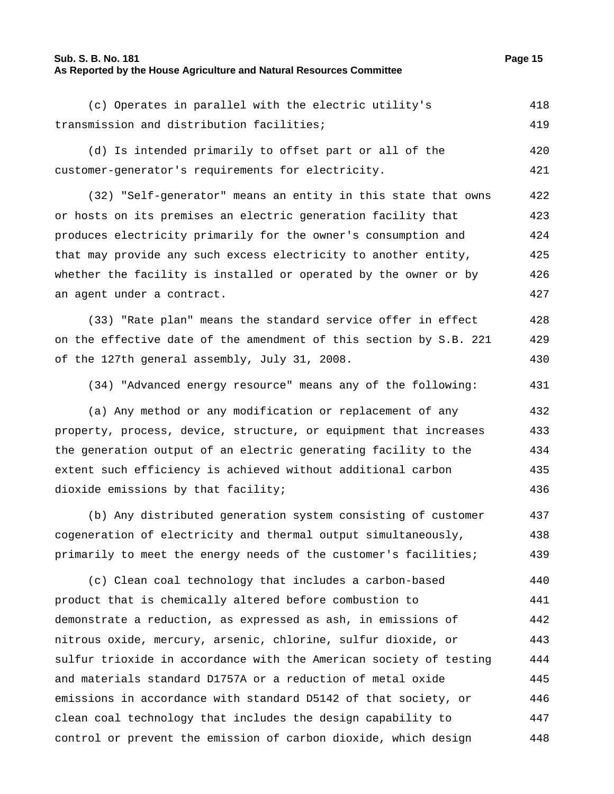#### **Sub. S. B. No. 181 Page 15 As Reported by the House Agriculture and Natural Resources Committee**

transmission and distribution facilities;

(c) Operates in parallel with the electric utility's

(d) Is intended primarily to offset part or all of the customer-generator's requirements for electricity. 421 (32) "Self-generator" means an entity in this state that owns or hosts on its premises an electric generation facility that produces electricity primarily for the owner's consumption and that may provide any such excess electricity to another entity, whether the facility is installed or operated by the owner or by an agent under a contract. 422 423 424 425 426 427 (33) "Rate plan" means the standard service offer in effect on the effective date of the amendment of this section by S.B. 221 of the 127th general assembly, July 31, 2008. 428 429 430 (34) "Advanced energy resource" means any of the following: 431 (a) Any method or any modification or replacement of any property, process, device, structure, or equipment that increases the generation output of an electric generating facility to the extent such efficiency is achieved without additional carbon dioxide emissions by that facility; 432 433 434 435 436 (b) Any distributed generation system consisting of customer cogeneration of electricity and thermal output simultaneously, primarily to meet the energy needs of the customer's facilities; 437 438 439 (c) Clean coal technology that includes a carbon-based 440

product that is chemically altered before combustion to demonstrate a reduction, as expressed as ash, in emissions of nitrous oxide, mercury, arsenic, chlorine, sulfur dioxide, or sulfur trioxide in accordance with the American society of testing and materials standard D1757A or a reduction of metal oxide emissions in accordance with standard D5142 of that society, or clean coal technology that includes the design capability to control or prevent the emission of carbon dioxide, which design 441 442 443 444 445 446 447 448

418 419

420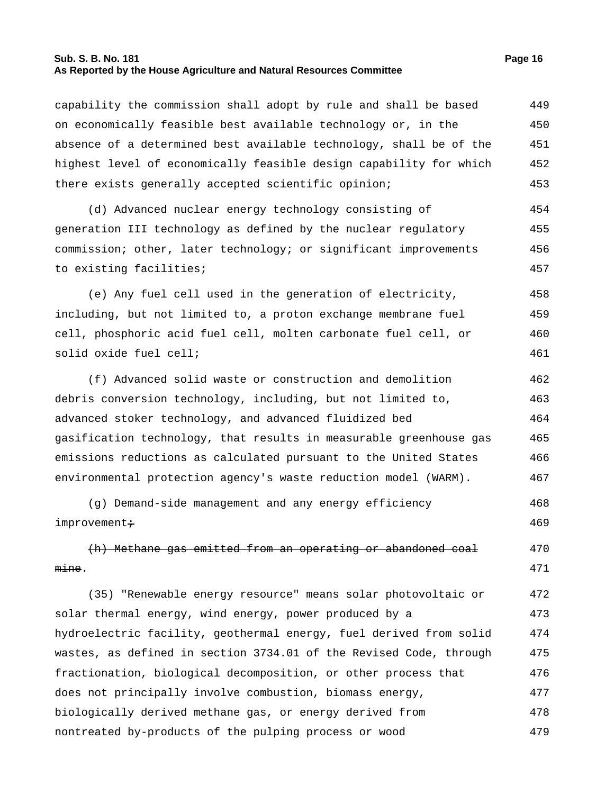#### **Sub. S. B. No. 181 Page 16 As Reported by the House Agriculture and Natural Resources Committee**

capability the commission shall adopt by rule and shall be based on economically feasible best available technology or, in the absence of a determined best available technology, shall be of the highest level of economically feasible design capability for which there exists generally accepted scientific opinion; 449 450 451 452 453 (d) Advanced nuclear energy technology consisting of generation III technology as defined by the nuclear regulatory commission; other, later technology; or significant improvements to existing facilities; 454 455 456 457 (e) Any fuel cell used in the generation of electricity, including, but not limited to, a proton exchange membrane fuel cell, phosphoric acid fuel cell, molten carbonate fuel cell, or solid oxide fuel cell; 458 459 460 461 (f) Advanced solid waste or construction and demolition debris conversion technology, including, but not limited to, advanced stoker technology, and advanced fluidized bed gasification technology, that results in measurable greenhouse gas emissions reductions as calculated pursuant to the United States environmental protection agency's waste reduction model (WARM). 462 463 464 465 466 467 (g) Demand-side management and any energy efficiency improvement+ 468 (h) Methane gas emitted from an operating or abandoned coal <del>mine</del>. 470 471 (35) "Renewable energy resource" means solar photovoltaic or solar thermal energy, wind energy, power produced by a hydroelectric facility, geothermal energy, fuel derived from solid wastes, as defined in section 3734.01 of the Revised Code, through fractionation, biological decomposition, or other process that does not principally involve combustion, biomass energy, biologically derived methane gas, or energy derived from nontreated by-products of the pulping process or wood 472 473 474 475 476 477 478 479

469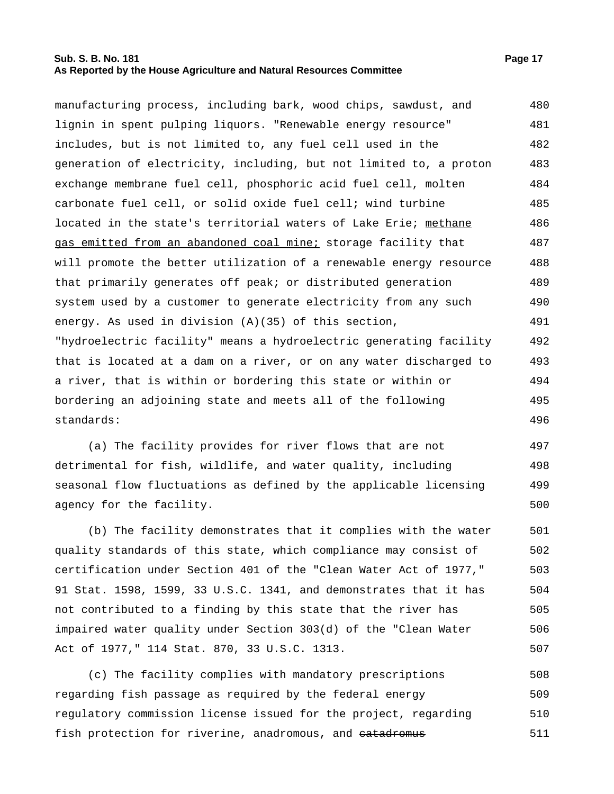#### **Sub. S. B. No. 181 Page 17 As Reported by the House Agriculture and Natural Resources Committee**

manufacturing process, including bark, wood chips, sawdust, and lignin in spent pulping liquors. "Renewable energy resource" includes, but is not limited to, any fuel cell used in the generation of electricity, including, but not limited to, a proton exchange membrane fuel cell, phosphoric acid fuel cell, molten carbonate fuel cell, or solid oxide fuel cell; wind turbine located in the state's territorial waters of Lake Erie; methane gas emitted from an abandoned coal mine; storage facility that will promote the better utilization of a renewable energy resource that primarily generates off peak; or distributed generation system used by a customer to generate electricity from any such energy. As used in division (A)(35) of this section, "hydroelectric facility" means a hydroelectric generating facility 480 481 482 483 484 485 486 487 488 489 490 491 492

that is located at a dam on a river, or on any water discharged to a river, that is within or bordering this state or within or bordering an adjoining state and meets all of the following standards: 493 494 495 496

(a) The facility provides for river flows that are not detrimental for fish, wildlife, and water quality, including seasonal flow fluctuations as defined by the applicable licensing agency for the facility. 497 498 499 500

(b) The facility demonstrates that it complies with the water quality standards of this state, which compliance may consist of certification under Section 401 of the "Clean Water Act of 1977," 91 Stat. 1598, 1599, 33 U.S.C. 1341, and demonstrates that it has not contributed to a finding by this state that the river has impaired water quality under Section 303(d) of the "Clean Water Act of 1977," 114 Stat. 870, 33 U.S.C. 1313. 501 502 503 504 505 506 507

(c) The facility complies with mandatory prescriptions regarding fish passage as required by the federal energy regulatory commission license issued for the project, regarding fish protection for riverine, anadromous, and eatadromus 508 509 510 511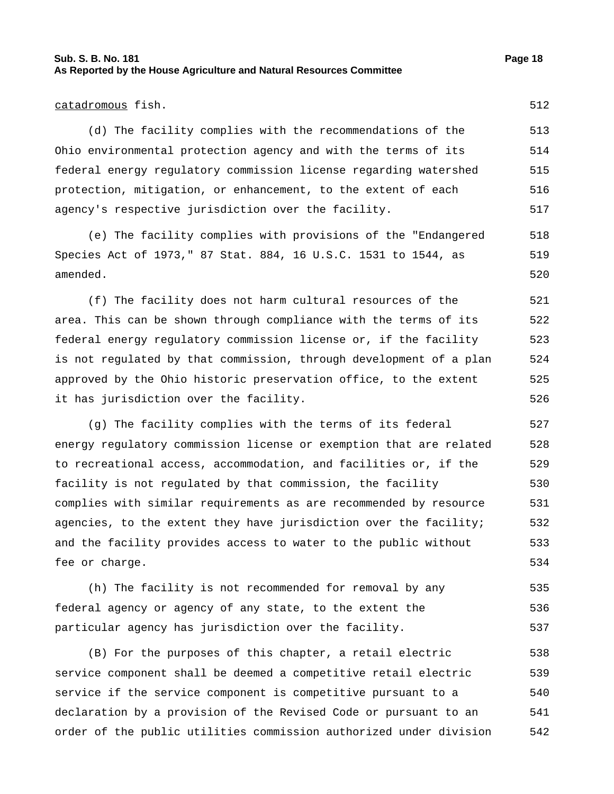#### **Sub. S. B. No. 181 Page 18 As Reported by the House Agriculture and Natural Resources Committee**

#### catadromous fish. 512

(d) The facility complies with the recommendations of the Ohio environmental protection agency and with the terms of its federal energy regulatory commission license regarding watershed protection, mitigation, or enhancement, to the extent of each agency's respective jurisdiction over the facility. 513 514 515 516 517

(e) The facility complies with provisions of the "Endangered Species Act of 1973," 87 Stat. 884, 16 U.S.C. 1531 to 1544, as amended. 518 519 520

(f) The facility does not harm cultural resources of the area. This can be shown through compliance with the terms of its federal energy regulatory commission license or, if the facility is not regulated by that commission, through development of a plan approved by the Ohio historic preservation office, to the extent it has jurisdiction over the facility. 521 522 523 524 525 526

(g) The facility complies with the terms of its federal energy regulatory commission license or exemption that are related to recreational access, accommodation, and facilities or, if the facility is not regulated by that commission, the facility complies with similar requirements as are recommended by resource agencies, to the extent they have jurisdiction over the facility; and the facility provides access to water to the public without fee or charge. 527 528 529 530 531 532 533 534

(h) The facility is not recommended for removal by any federal agency or agency of any state, to the extent the particular agency has jurisdiction over the facility. 535 536 537

(B) For the purposes of this chapter, a retail electric service component shall be deemed a competitive retail electric service if the service component is competitive pursuant to a declaration by a provision of the Revised Code or pursuant to an order of the public utilities commission authorized under division 538 539 540 541 542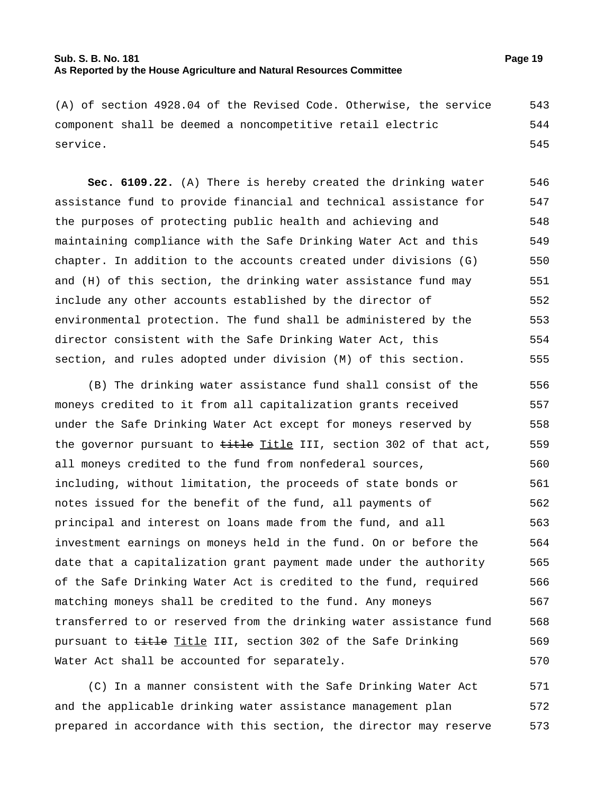#### **Sub. S. B. No. 181 Page 19 As Reported by the House Agriculture and Natural Resources Committee**

(A) of section 4928.04 of the Revised Code. Otherwise, the service component shall be deemed a noncompetitive retail electric service. 543 544 545

**Sec. 6109.22.** (A) There is hereby created the drinking water assistance fund to provide financial and technical assistance for the purposes of protecting public health and achieving and maintaining compliance with the Safe Drinking Water Act and this chapter. In addition to the accounts created under divisions (G) and (H) of this section, the drinking water assistance fund may include any other accounts established by the director of environmental protection. The fund shall be administered by the director consistent with the Safe Drinking Water Act, this section, and rules adopted under division (M) of this section. 546 547 548 549 550 551 552 553 554 555

(B) The drinking water assistance fund shall consist of the moneys credited to it from all capitalization grants received under the Safe Drinking Water Act except for moneys reserved by the governor pursuant to title Title III, section 302 of that act, all moneys credited to the fund from nonfederal sources, including, without limitation, the proceeds of state bonds or notes issued for the benefit of the fund, all payments of principal and interest on loans made from the fund, and all investment earnings on moneys held in the fund. On or before the date that a capitalization grant payment made under the authority of the Safe Drinking Water Act is credited to the fund, required matching moneys shall be credited to the fund. Any moneys transferred to or reserved from the drinking water assistance fund pursuant to title Title III, section 302 of the Safe Drinking Water Act shall be accounted for separately. 556 557 558 559 560 561 562 563 564 565 566 567 568 569 570

(C) In a manner consistent with the Safe Drinking Water Act and the applicable drinking water assistance management plan prepared in accordance with this section, the director may reserve 571 572 573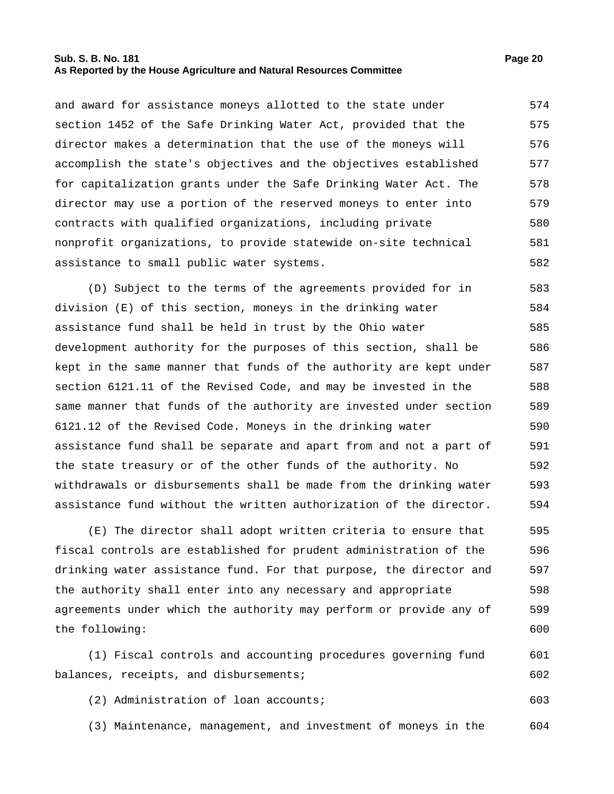#### **Sub. S. B. No. 181 Page 20 As Reported by the House Agriculture and Natural Resources Committee**

and award for assistance moneys allotted to the state under section 1452 of the Safe Drinking Water Act, provided that the director makes a determination that the use of the moneys will accomplish the state's objectives and the objectives established for capitalization grants under the Safe Drinking Water Act. The director may use a portion of the reserved moneys to enter into contracts with qualified organizations, including private nonprofit organizations, to provide statewide on-site technical assistance to small public water systems. 574 575 576 577 578 579 580 581 582

(D) Subject to the terms of the agreements provided for in division (E) of this section, moneys in the drinking water assistance fund shall be held in trust by the Ohio water development authority for the purposes of this section, shall be kept in the same manner that funds of the authority are kept under section 6121.11 of the Revised Code, and may be invested in the same manner that funds of the authority are invested under section 6121.12 of the Revised Code. Moneys in the drinking water assistance fund shall be separate and apart from and not a part of the state treasury or of the other funds of the authority. No withdrawals or disbursements shall be made from the drinking water assistance fund without the written authorization of the director. 583 584 585 586 587 588 589 590 591 592 593 594

(E) The director shall adopt written criteria to ensure that fiscal controls are established for prudent administration of the drinking water assistance fund. For that purpose, the director and the authority shall enter into any necessary and appropriate agreements under which the authority may perform or provide any of the following: 595 596 597 598 599 600

(1) Fiscal controls and accounting procedures governing fund balances, receipts, and disbursements; 601 602

(2) Administration of loan accounts; 603

(3) Maintenance, management, and investment of moneys in the 604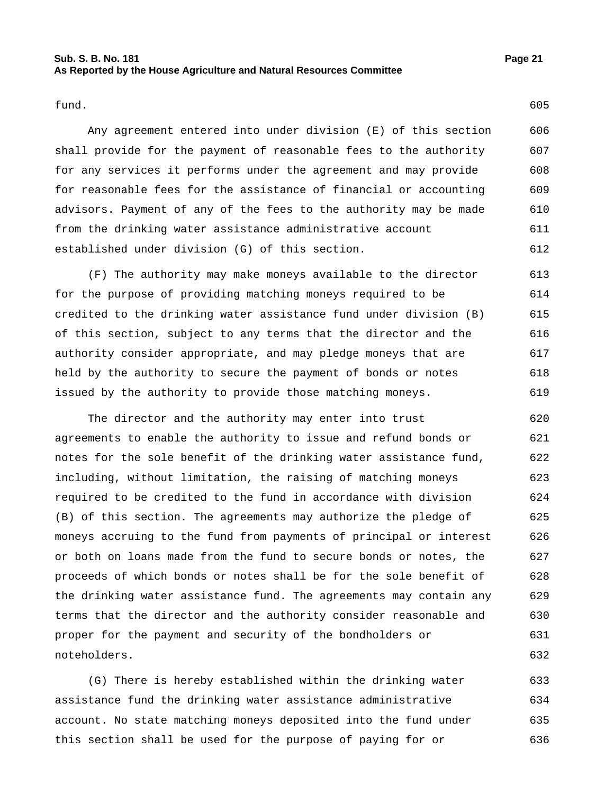#### **Sub. S. B. No. 181 Page 21 As Reported by the House Agriculture and Natural Resources Committee**

fund. 605

Any agreement entered into under division (E) of this section shall provide for the payment of reasonable fees to the authority for any services it performs under the agreement and may provide for reasonable fees for the assistance of financial or accounting advisors. Payment of any of the fees to the authority may be made from the drinking water assistance administrative account established under division (G) of this section. 606 607 608 609 610 611 612

(F) The authority may make moneys available to the director for the purpose of providing matching moneys required to be credited to the drinking water assistance fund under division (B) of this section, subject to any terms that the director and the authority consider appropriate, and may pledge moneys that are held by the authority to secure the payment of bonds or notes issued by the authority to provide those matching moneys. 613 614 615 616 617 618 619

The director and the authority may enter into trust agreements to enable the authority to issue and refund bonds or notes for the sole benefit of the drinking water assistance fund, including, without limitation, the raising of matching moneys required to be credited to the fund in accordance with division (B) of this section. The agreements may authorize the pledge of moneys accruing to the fund from payments of principal or interest or both on loans made from the fund to secure bonds or notes, the proceeds of which bonds or notes shall be for the sole benefit of the drinking water assistance fund. The agreements may contain any terms that the director and the authority consider reasonable and proper for the payment and security of the bondholders or noteholders. 620 621 622 623 624 625 626 627 628 629 630 631 632

(G) There is hereby established within the drinking water assistance fund the drinking water assistance administrative account. No state matching moneys deposited into the fund under this section shall be used for the purpose of paying for or 633 634 635 636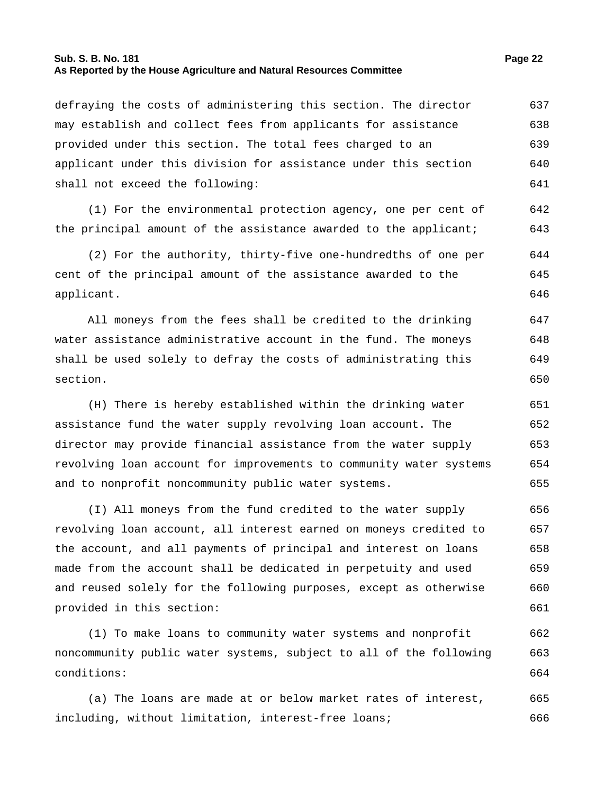#### **Sub. S. B. No. 181 Page 22 As Reported by the House Agriculture and Natural Resources Committee**

defraying the costs of administering this section. The director may establish and collect fees from applicants for assistance provided under this section. The total fees charged to an applicant under this division for assistance under this section shall not exceed the following: 637 638 639 640 641

(1) For the environmental protection agency, one per cent of the principal amount of the assistance awarded to the applicant; 642 643

(2) For the authority, thirty-five one-hundredths of one per cent of the principal amount of the assistance awarded to the applicant. 644 645 646

All moneys from the fees shall be credited to the drinking water assistance administrative account in the fund. The moneys shall be used solely to defray the costs of administrating this section. 647 648 649 650

(H) There is hereby established within the drinking water assistance fund the water supply revolving loan account. The director may provide financial assistance from the water supply revolving loan account for improvements to community water systems and to nonprofit noncommunity public water systems. 651 652 653 654 655

(I) All moneys from the fund credited to the water supply revolving loan account, all interest earned on moneys credited to the account, and all payments of principal and interest on loans made from the account shall be dedicated in perpetuity and used and reused solely for the following purposes, except as otherwise provided in this section: 656 657 658 659 660 661

(1) To make loans to community water systems and nonprofit noncommunity public water systems, subject to all of the following conditions: 662 663 664

(a) The loans are made at or below market rates of interest, including, without limitation, interest-free loans; 665 666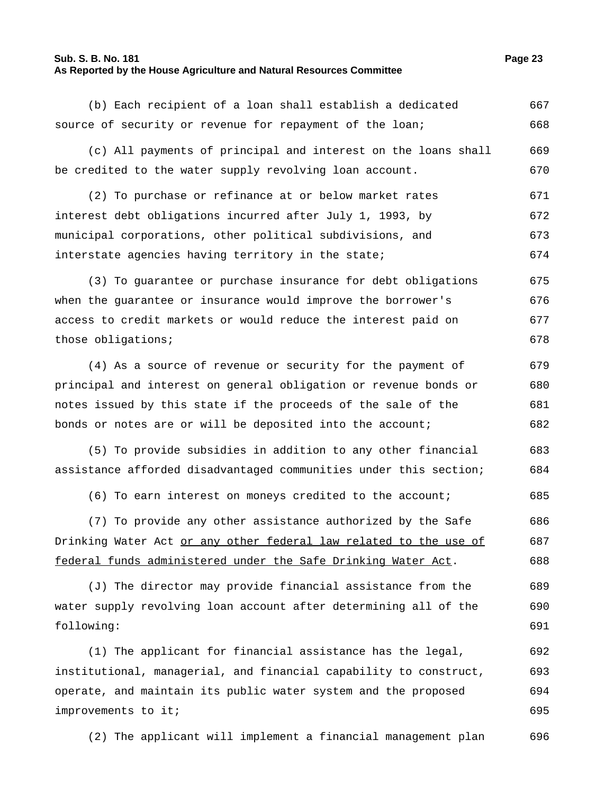#### **Sub. S. B. No. 181 Page 23 As Reported by the House Agriculture and Natural Resources Committee**

(b) Each recipient of a loan shall establish a dedicated source of security or revenue for repayment of the loan; 667 668

(c) All payments of principal and interest on the loans shall be credited to the water supply revolving loan account. 669 670

(2) To purchase or refinance at or below market rates interest debt obligations incurred after July 1, 1993, by municipal corporations, other political subdivisions, and interstate agencies having territory in the state; 671 672 673 674

(3) To guarantee or purchase insurance for debt obligations when the guarantee or insurance would improve the borrower's access to credit markets or would reduce the interest paid on those obligations; 675 676 677 678

(4) As a source of revenue or security for the payment of principal and interest on general obligation or revenue bonds or notes issued by this state if the proceeds of the sale of the bonds or notes are or will be deposited into the account; 679 680 681 682

(5) To provide subsidies in addition to any other financial assistance afforded disadvantaged communities under this section; 683 684

(6) To earn interest on moneys credited to the account; 685

(7) To provide any other assistance authorized by the Safe Drinking Water Act or any other federal law related to the use of federal funds administered under the Safe Drinking Water Act. 686 687 688

(J) The director may provide financial assistance from the water supply revolving loan account after determining all of the following: 689 690 691

(1) The applicant for financial assistance has the legal, institutional, managerial, and financial capability to construct, operate, and maintain its public water system and the proposed improvements to it; 692 693 694 695

(2) The applicant will implement a financial management plan 696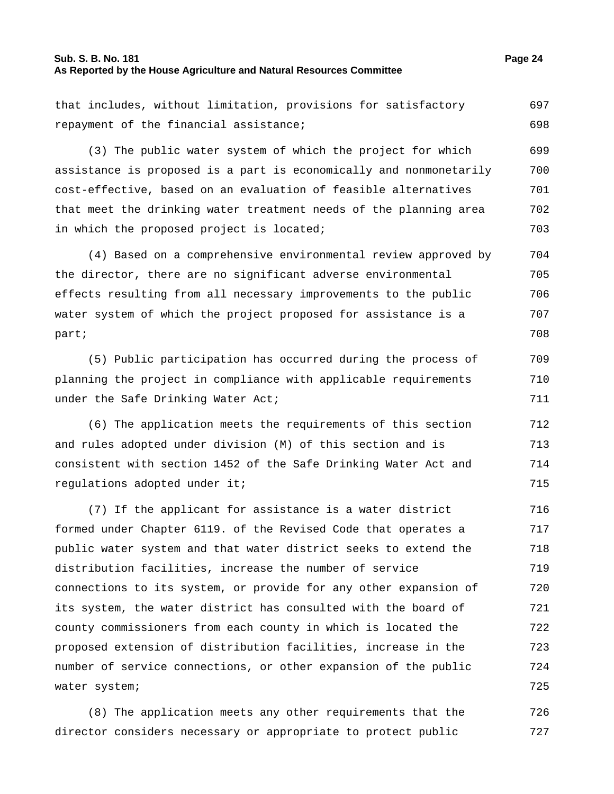### **Sub. S. B. No. 181 Page 24 As Reported by the House Agriculture and Natural Resources Committee**

| that includes, without limitation, provisions for satisfactory     | 697 |
|--------------------------------------------------------------------|-----|
| repayment of the financial assistance;                             | 698 |
| (3) The public water system of which the project for which         | 699 |
| assistance is proposed is a part is economically and nonmonetarily | 700 |
| cost-effective, based on an evaluation of feasible alternatives    | 701 |
| that meet the drinking water treatment needs of the planning area  | 702 |
| in which the proposed project is located;                          | 703 |
| (4) Based on a comprehensive environmental review approved by      | 704 |
| the director, there are no significant adverse environmental       | 705 |
| effects resulting from all necessary improvements to the public    | 706 |
| water system of which the project proposed for assistance is a     | 707 |
| part;                                                              | 708 |
| (5) Public participation has occurred during the process of        | 709 |
| planning the project in compliance with applicable requirements    | 710 |
| under the Safe Drinking Water Act;                                 | 711 |
| (6) The application meets the requirements of this section         | 712 |
| and rules adopted under division (M) of this section and is        | 713 |
| consistent with section 1452 of the Safe Drinking Water Act and    | 714 |
| regulations adopted under it;                                      | 715 |
| (7) If the applicant for assistance is a water district            | 716 |
| formed under Chapter 6119. of the Revised Code that operates a     | 717 |
| public water system and that water district seeks to extend the    | 718 |
| distribution facilities, increase the number of service            | 719 |
| connections to its system, or provide for any other expansion of   | 720 |
| its system, the water district has consulted with the board of     | 721 |
| county commissioners from each county in which is located the      | 722 |
| proposed extension of distribution facilities, increase in the     | 723 |
| number of service connections, or other expansion of the public    | 724 |

725

(8) The application meets any other requirements that the director considers necessary or appropriate to protect public 726 727

water system;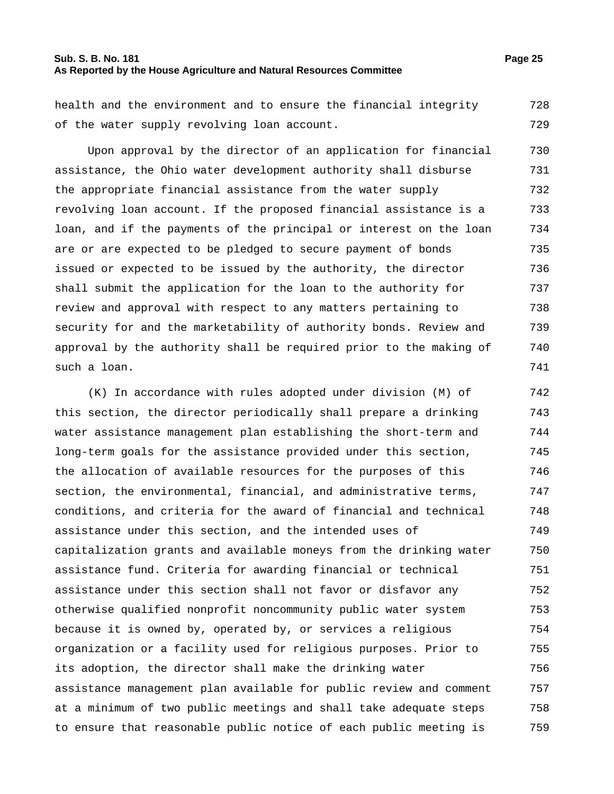#### **Sub. S. B. No. 181 Page 25 As Reported by the House Agriculture and Natural Resources Committee**

health and the environment and to ensure the financial integrity of the water supply revolving loan account. 728 729

Upon approval by the director of an application for financial assistance, the Ohio water development authority shall disburse the appropriate financial assistance from the water supply revolving loan account. If the proposed financial assistance is a loan, and if the payments of the principal or interest on the loan are or are expected to be pledged to secure payment of bonds issued or expected to be issued by the authority, the director shall submit the application for the loan to the authority for review and approval with respect to any matters pertaining to security for and the marketability of authority bonds. Review and approval by the authority shall be required prior to the making of such a loan. 730 731 732 733 734 735 736 737 738 739 740 741

(K) In accordance with rules adopted under division (M) of this section, the director periodically shall prepare a drinking water assistance management plan establishing the short-term and long-term goals for the assistance provided under this section, the allocation of available resources for the purposes of this section, the environmental, financial, and administrative terms, conditions, and criteria for the award of financial and technical assistance under this section, and the intended uses of capitalization grants and available moneys from the drinking water assistance fund. Criteria for awarding financial or technical assistance under this section shall not favor or disfavor any otherwise qualified nonprofit noncommunity public water system because it is owned by, operated by, or services a religious organization or a facility used for religious purposes. Prior to its adoption, the director shall make the drinking water assistance management plan available for public review and comment at a minimum of two public meetings and shall take adequate steps to ensure that reasonable public notice of each public meeting is 742 743 744 745 746 747 748 749 750 751 752 753 754 755 756 757 758 759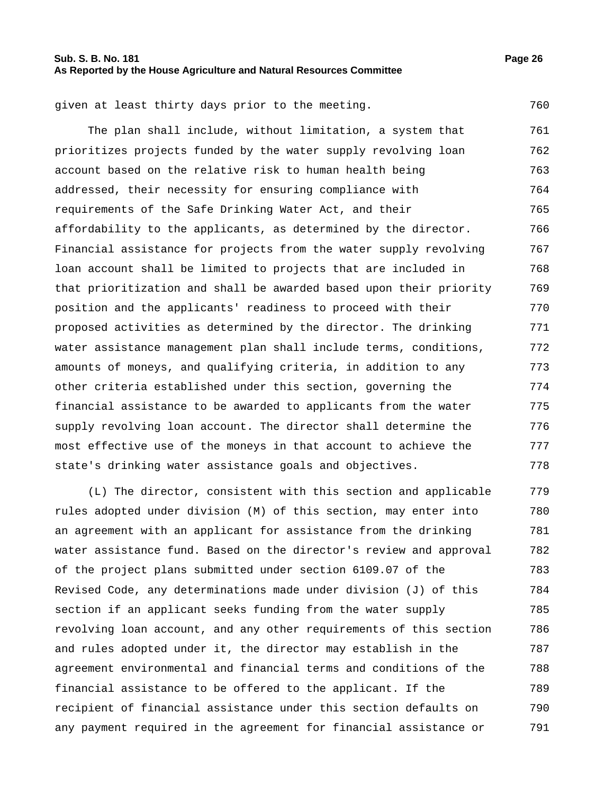given at least thirty days prior to the meeting. 760

The plan shall include, without limitation, a system that prioritizes projects funded by the water supply revolving loan account based on the relative risk to human health being addressed, their necessity for ensuring compliance with requirements of the Safe Drinking Water Act, and their affordability to the applicants, as determined by the director. Financial assistance for projects from the water supply revolving loan account shall be limited to projects that are included in that prioritization and shall be awarded based upon their priority position and the applicants' readiness to proceed with their proposed activities as determined by the director. The drinking water assistance management plan shall include terms, conditions, amounts of moneys, and qualifying criteria, in addition to any other criteria established under this section, governing the financial assistance to be awarded to applicants from the water supply revolving loan account. The director shall determine the most effective use of the moneys in that account to achieve the state's drinking water assistance goals and objectives. 761 762 763 764 765 766 767 768 769 770 771 772 773 774 775 776 777 778

(L) The director, consistent with this section and applicable rules adopted under division (M) of this section, may enter into an agreement with an applicant for assistance from the drinking water assistance fund. Based on the director's review and approval of the project plans submitted under section 6109.07 of the Revised Code, any determinations made under division (J) of this section if an applicant seeks funding from the water supply revolving loan account, and any other requirements of this section and rules adopted under it, the director may establish in the agreement environmental and financial terms and conditions of the financial assistance to be offered to the applicant. If the recipient of financial assistance under this section defaults on any payment required in the agreement for financial assistance or 779 780 781 782 783 784 785 786 787 788 789 790 791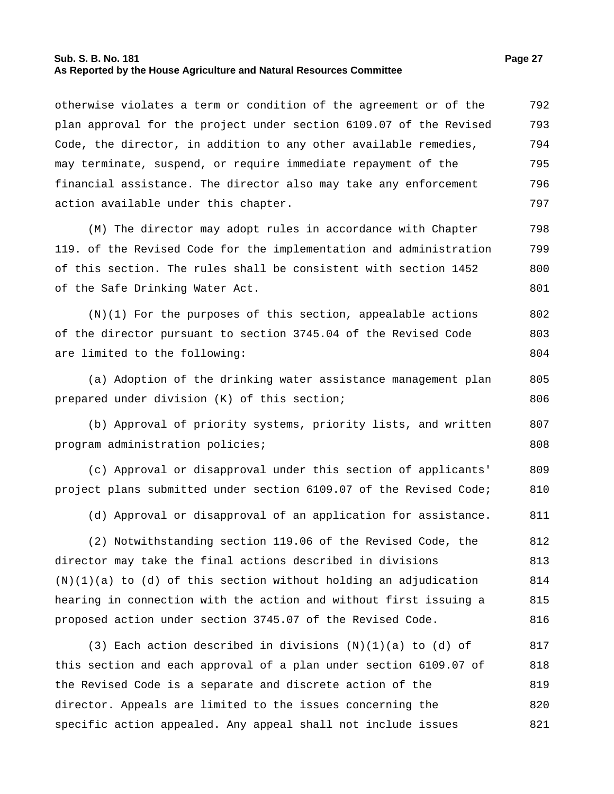#### **Sub. S. B. No. 181 Page 27 As Reported by the House Agriculture and Natural Resources Committee**

otherwise violates a term or condition of the agreement or of the plan approval for the project under section 6109.07 of the Revised Code, the director, in addition to any other available remedies, may terminate, suspend, or require immediate repayment of the financial assistance. The director also may take any enforcement action available under this chapter. 792 793 794 795 796 797 (M) The director may adopt rules in accordance with Chapter 119. of the Revised Code for the implementation and administration of this section. The rules shall be consistent with section 1452 of the Safe Drinking Water Act. 798 799 800 801  $(N)(1)$  For the purposes of this section, appealable actions of the director pursuant to section 3745.04 of the Revised Code are limited to the following: 802 803 804 (a) Adoption of the drinking water assistance management plan prepared under division (K) of this section; 805 806 (b) Approval of priority systems, priority lists, and written program administration policies; 807 808

(c) Approval or disapproval under this section of applicants' project plans submitted under section 6109.07 of the Revised Code; 809 810

(d) Approval or disapproval of an application for assistance. 811

(2) Notwithstanding section 119.06 of the Revised Code, the director may take the final actions described in divisions  $(N)(1)(a)$  to  $(d)$  of this section without holding an adjudication hearing in connection with the action and without first issuing a proposed action under section 3745.07 of the Revised Code. 812 813 814 815 816

(3) Each action described in divisions  $(N)(1)(a)$  to  $(d)$  of this section and each approval of a plan under section 6109.07 of the Revised Code is a separate and discrete action of the director. Appeals are limited to the issues concerning the specific action appealed. Any appeal shall not include issues 817 818 819 820 821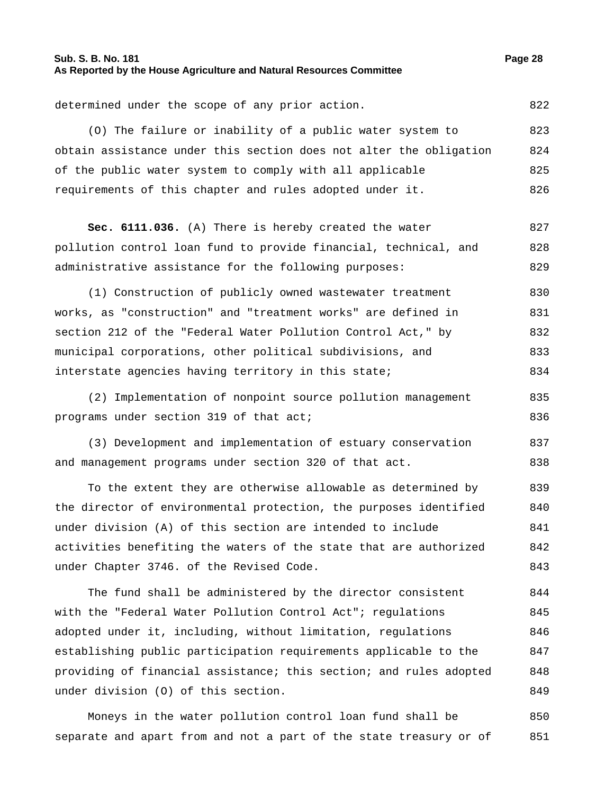#### **Sub. S. B. No. 181 Page 28 As Reported by the House Agriculture and Natural Resources Committee**

determined under the scope of any prior action. 822

(O) The failure or inability of a public water system to obtain assistance under this section does not alter the obligation of the public water system to comply with all applicable requirements of this chapter and rules adopted under it. 823 824 825 826

**Sec. 6111.036.** (A) There is hereby created the water pollution control loan fund to provide financial, technical, and administrative assistance for the following purposes: 827 828 829

(1) Construction of publicly owned wastewater treatment works, as "construction" and "treatment works" are defined in section 212 of the "Federal Water Pollution Control Act," by municipal corporations, other political subdivisions, and interstate agencies having territory in this state; 830 831 832 833 834

(2) Implementation of nonpoint source pollution management programs under section 319 of that act; 835 836

(3) Development and implementation of estuary conservation and management programs under section 320 of that act. 837 838

To the extent they are otherwise allowable as determined by the director of environmental protection, the purposes identified under division (A) of this section are intended to include activities benefiting the waters of the state that are authorized under Chapter 3746. of the Revised Code. 839 840 841 842 843

The fund shall be administered by the director consistent with the "Federal Water Pollution Control Act"; regulations adopted under it, including, without limitation, regulations establishing public participation requirements applicable to the providing of financial assistance; this section; and rules adopted under division (O) of this section. 844 845 846 847 848 849

Moneys in the water pollution control loan fund shall be separate and apart from and not a part of the state treasury or of 850 851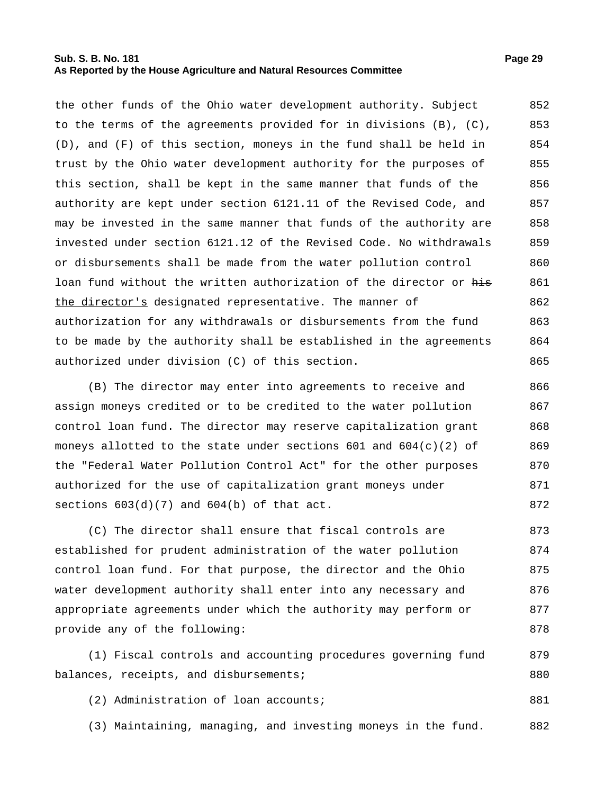#### **Sub. S. B. No. 181 Page 29 As Reported by the House Agriculture and Natural Resources Committee**

the other funds of the Ohio water development authority. Subject to the terms of the agreements provided for in divisions (B), (C), (D), and (F) of this section, moneys in the fund shall be held in trust by the Ohio water development authority for the purposes of this section, shall be kept in the same manner that funds of the authority are kept under section 6121.11 of the Revised Code, and may be invested in the same manner that funds of the authority are invested under section 6121.12 of the Revised Code. No withdrawals or disbursements shall be made from the water pollution control loan fund without the written authorization of the director or his the director's designated representative. The manner of authorization for any withdrawals or disbursements from the fund to be made by the authority shall be established in the agreements authorized under division (C) of this section. 852 853 854 855 856 857 858 859 860 861 862 863 864 865

(B) The director may enter into agreements to receive and assign moneys credited or to be credited to the water pollution control loan fund. The director may reserve capitalization grant moneys allotted to the state under sections  $601$  and  $604(c)(2)$  of the "Federal Water Pollution Control Act" for the other purposes authorized for the use of capitalization grant moneys under sections  $603(d)(7)$  and  $604(b)$  of that act. 866 867 868 869 870 871 872

(C) The director shall ensure that fiscal controls are established for prudent administration of the water pollution control loan fund. For that purpose, the director and the Ohio water development authority shall enter into any necessary and appropriate agreements under which the authority may perform or provide any of the following: 873 874 875 876 877 878

(1) Fiscal controls and accounting procedures governing fund balances, receipts, and disbursements; 879 880

(2) Administration of loan accounts; 881

(3) Maintaining, managing, and investing moneys in the fund. 882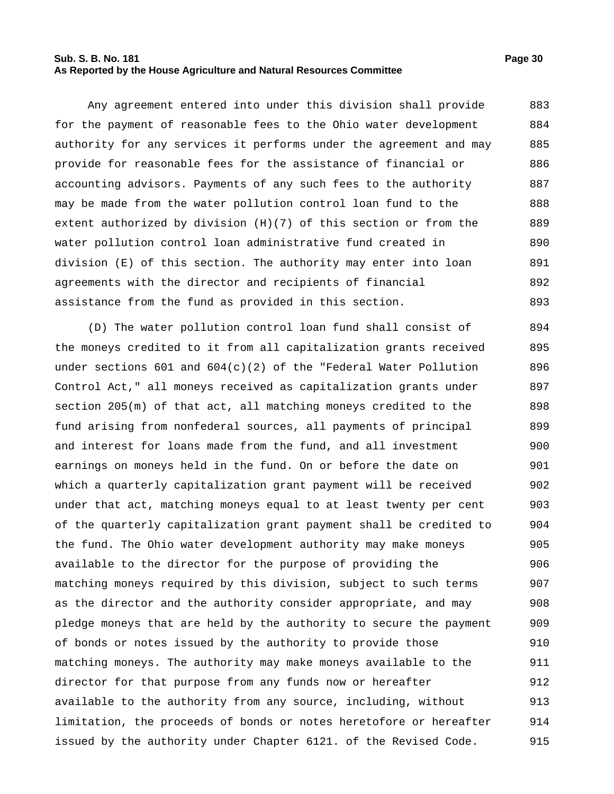#### **Sub. S. B. No. 181 Page 30 As Reported by the House Agriculture and Natural Resources Committee**

Any agreement entered into under this division shall provide for the payment of reasonable fees to the Ohio water development authority for any services it performs under the agreement and may provide for reasonable fees for the assistance of financial or accounting advisors. Payments of any such fees to the authority may be made from the water pollution control loan fund to the extent authorized by division (H)(7) of this section or from the water pollution control loan administrative fund created in division (E) of this section. The authority may enter into loan agreements with the director and recipients of financial assistance from the fund as provided in this section. 883 884 885 886 887 888 889 890 891 892 893

(D) The water pollution control loan fund shall consist of the moneys credited to it from all capitalization grants received under sections 601 and  $604(c)(2)$  of the "Federal Water Pollution Control Act," all moneys received as capitalization grants under section 205(m) of that act, all matching moneys credited to the fund arising from nonfederal sources, all payments of principal and interest for loans made from the fund, and all investment earnings on moneys held in the fund. On or before the date on which a quarterly capitalization grant payment will be received under that act, matching moneys equal to at least twenty per cent of the quarterly capitalization grant payment shall be credited to the fund. The Ohio water development authority may make moneys available to the director for the purpose of providing the matching moneys required by this division, subject to such terms as the director and the authority consider appropriate, and may pledge moneys that are held by the authority to secure the payment of bonds or notes issued by the authority to provide those matching moneys. The authority may make moneys available to the director for that purpose from any funds now or hereafter available to the authority from any source, including, without limitation, the proceeds of bonds or notes heretofore or hereafter issued by the authority under Chapter 6121. of the Revised Code. 894 895 896 897 898 899 900 901 902 903 904 905 906 907 908 909 910 911 912 913 914 915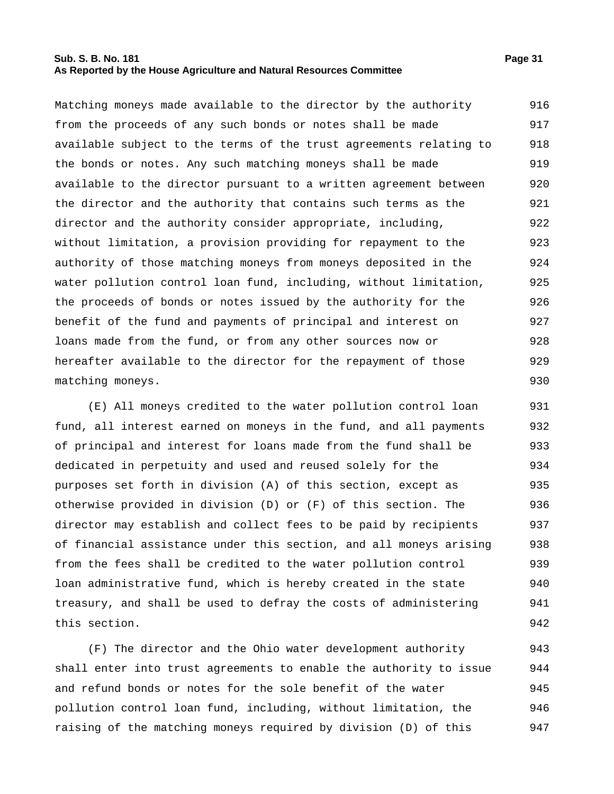#### **Sub. S. B. No. 181 Page 31 As Reported by the House Agriculture and Natural Resources Committee**

Matching moneys made available to the director by the authority from the proceeds of any such bonds or notes shall be made available subject to the terms of the trust agreements relating to the bonds or notes. Any such matching moneys shall be made available to the director pursuant to a written agreement between the director and the authority that contains such terms as the director and the authority consider appropriate, including, without limitation, a provision providing for repayment to the authority of those matching moneys from moneys deposited in the water pollution control loan fund, including, without limitation, the proceeds of bonds or notes issued by the authority for the benefit of the fund and payments of principal and interest on loans made from the fund, or from any other sources now or hereafter available to the director for the repayment of those matching moneys. 916 917 918 919 920 921 922 923 924 925 926 927 928 929 930

(E) All moneys credited to the water pollution control loan fund, all interest earned on moneys in the fund, and all payments of principal and interest for loans made from the fund shall be dedicated in perpetuity and used and reused solely for the purposes set forth in division (A) of this section, except as otherwise provided in division (D) or (F) of this section. The director may establish and collect fees to be paid by recipients of financial assistance under this section, and all moneys arising from the fees shall be credited to the water pollution control loan administrative fund, which is hereby created in the state treasury, and shall be used to defray the costs of administering this section. 931 932 933 934 935 936 937 938 939 940 941 942

(F) The director and the Ohio water development authority shall enter into trust agreements to enable the authority to issue and refund bonds or notes for the sole benefit of the water pollution control loan fund, including, without limitation, the raising of the matching moneys required by division (D) of this 943 944 945 946 947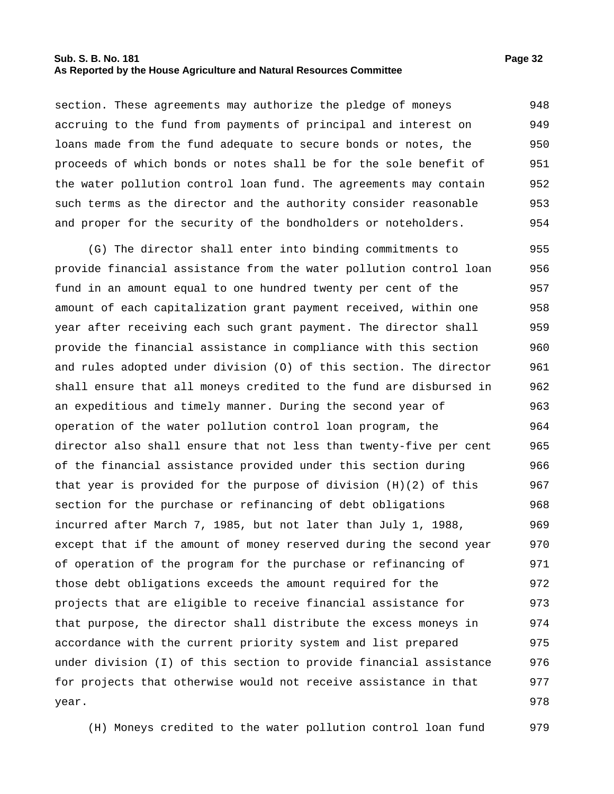#### **Sub. S. B. No. 181 Page 32 As Reported by the House Agriculture and Natural Resources Committee**

section. These agreements may authorize the pledge of moneys accruing to the fund from payments of principal and interest on loans made from the fund adequate to secure bonds or notes, the proceeds of which bonds or notes shall be for the sole benefit of the water pollution control loan fund. The agreements may contain such terms as the director and the authority consider reasonable and proper for the security of the bondholders or noteholders. 948 949 950 951 952 953 954

(G) The director shall enter into binding commitments to provide financial assistance from the water pollution control loan fund in an amount equal to one hundred twenty per cent of the amount of each capitalization grant payment received, within one year after receiving each such grant payment. The director shall provide the financial assistance in compliance with this section and rules adopted under division (O) of this section. The director shall ensure that all moneys credited to the fund are disbursed in an expeditious and timely manner. During the second year of operation of the water pollution control loan program, the director also shall ensure that not less than twenty-five per cent of the financial assistance provided under this section during that year is provided for the purpose of division  $(H)(2)$  of this section for the purchase or refinancing of debt obligations incurred after March 7, 1985, but not later than July 1, 1988, except that if the amount of money reserved during the second year of operation of the program for the purchase or refinancing of those debt obligations exceeds the amount required for the projects that are eligible to receive financial assistance for that purpose, the director shall distribute the excess moneys in accordance with the current priority system and list prepared under division (I) of this section to provide financial assistance for projects that otherwise would not receive assistance in that year. 955 956 957 958 959 960 961 962 963 964 965 966 967 968 969 970 971 972 973 974 975 976 977 978

(H) Moneys credited to the water pollution control loan fund 979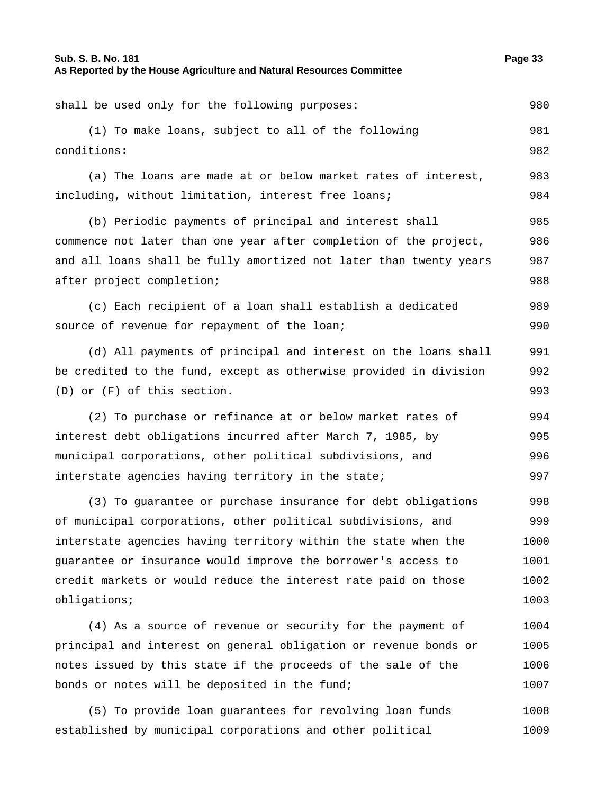#### **Sub. S. B. No. 181 Page 33 As Reported by the House Agriculture and Natural Resources Committee**

shall be used only for the following purposes: 980

(1) To make loans, subject to all of the following conditions: 981 982

(a) The loans are made at or below market rates of interest, including, without limitation, interest free loans; 983 984

(b) Periodic payments of principal and interest shall commence not later than one year after completion of the project, and all loans shall be fully amortized not later than twenty years after project completion; 985 986 987 988

(c) Each recipient of a loan shall establish a dedicated source of revenue for repayment of the loan; 989 990

(d) All payments of principal and interest on the loans shall be credited to the fund, except as otherwise provided in division (D) or (F) of this section. 991 992 993

(2) To purchase or refinance at or below market rates of interest debt obligations incurred after March 7, 1985, by municipal corporations, other political subdivisions, and interstate agencies having territory in the state; 994 995 996 997

(3) To guarantee or purchase insurance for debt obligations of municipal corporations, other political subdivisions, and interstate agencies having territory within the state when the guarantee or insurance would improve the borrower's access to credit markets or would reduce the interest rate paid on those obligations; 998 999 1000 1001 1002 1003

(4) As a source of revenue or security for the payment of principal and interest on general obligation or revenue bonds or notes issued by this state if the proceeds of the sale of the bonds or notes will be deposited in the fund; 1004 1005 1006 1007

(5) To provide loan guarantees for revolving loan funds established by municipal corporations and other political 1008 1009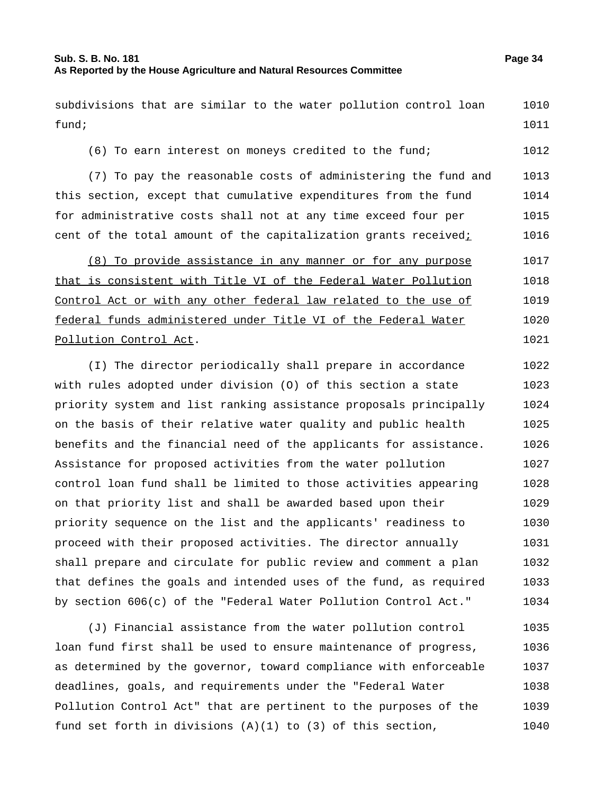#### **Sub. S. B. No. 181 Page 34 As Reported by the House Agriculture and Natural Resources Committee**

subdivisions that are similar to the water pollution control loan fund; 1010 1011

(6) To earn interest on moneys credited to the fund; 1012

(7) To pay the reasonable costs of administering the fund and this section, except that cumulative expenditures from the fund for administrative costs shall not at any time exceed four per cent of the total amount of the capitalization grants receivedi 1013 1014 1015 1016

(8) To provide assistance in any manner or for any purpose that is consistent with Title VI of the Federal Water Pollution Control Act or with any other federal law related to the use of federal funds administered under Title VI of the Federal Water Pollution Control Act. 1017 1018 1019 1020 1021

(I) The director periodically shall prepare in accordance with rules adopted under division (O) of this section a state priority system and list ranking assistance proposals principally on the basis of their relative water quality and public health benefits and the financial need of the applicants for assistance. Assistance for proposed activities from the water pollution control loan fund shall be limited to those activities appearing on that priority list and shall be awarded based upon their priority sequence on the list and the applicants' readiness to proceed with their proposed activities. The director annually shall prepare and circulate for public review and comment a plan that defines the goals and intended uses of the fund, as required by section 606(c) of the "Federal Water Pollution Control Act." 1022 1023 1024 1025 1026 1027 1028 1029 1030 1031 1032 1033 1034

(J) Financial assistance from the water pollution control loan fund first shall be used to ensure maintenance of progress, as determined by the governor, toward compliance with enforceable deadlines, goals, and requirements under the "Federal Water Pollution Control Act" that are pertinent to the purposes of the fund set forth in divisions  $(A)(1)$  to  $(3)$  of this section, 1035 1036 1037 1038 1039 1040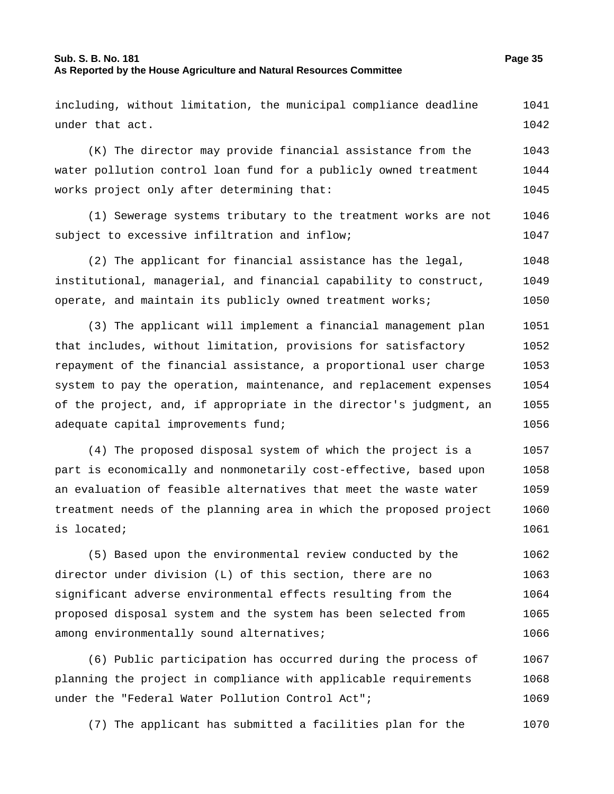#### **Sub. S. B. No. 181 Page 35 As Reported by the House Agriculture and Natural Resources Committee**

| including, without limitation, the municipal compliance deadline   | 1041 |
|--------------------------------------------------------------------|------|
| under that act.                                                    | 1042 |
| (K) The director may provide financial assistance from the         | 1043 |
| water pollution control loan fund for a publicly owned treatment   | 1044 |
| works project only after determining that:                         | 1045 |
| (1) Sewerage systems tributary to the treatment works are not      | 1046 |
| subject to excessive infiltration and inflow;                      | 1047 |
| (2) The applicant for financial assistance has the legal,          | 1048 |
| institutional, managerial, and financial capability to construct,  | 1049 |
| operate, and maintain its publicly owned treatment works;          | 1050 |
| (3) The applicant will implement a financial management plan       | 1051 |
| that includes, without limitation, provisions for satisfactory     | 1052 |
| repayment of the financial assistance, a proportional user charge  | 1053 |
| system to pay the operation, maintenance, and replacement expenses | 1054 |
| of the project, and, if appropriate in the director's judgment, an | 1055 |
| adequate capital improvements fund;                                | 1056 |
| (4) The proposed disposal system of which the project is a         | 1057 |

part is economically and nonmonetarily cost-effective, based upon an evaluation of feasible alternatives that meet the waste water treatment needs of the planning area in which the proposed project is located; 1058 1059 1060 1061

(5) Based upon the environmental review conducted by the director under division (L) of this section, there are no significant adverse environmental effects resulting from the proposed disposal system and the system has been selected from among environmentally sound alternatives; 1062 1063 1064 1065 1066

(6) Public participation has occurred during the process of planning the project in compliance with applicable requirements under the "Federal Water Pollution Control Act"; 1067 1068 1069

(7) The applicant has submitted a facilities plan for the 1070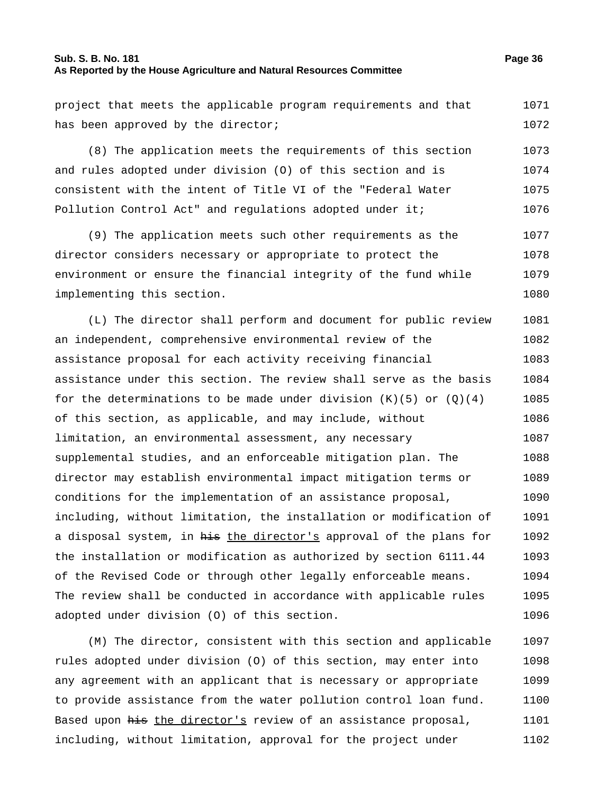#### **Sub. S. B. No. 181 Page 36 As Reported by the House Agriculture and Natural Resources Committee**

project that meets the applicable program requirements and that has been approved by the director; 1071 1072

(8) The application meets the requirements of this section and rules adopted under division (O) of this section and is consistent with the intent of Title VI of the "Federal Water Pollution Control Act" and regulations adopted under it; 1073 1074 1075 1076

(9) The application meets such other requirements as the director considers necessary or appropriate to protect the environment or ensure the financial integrity of the fund while implementing this section. 1077 1078 1079 1080

(L) The director shall perform and document for public review an independent, comprehensive environmental review of the assistance proposal for each activity receiving financial assistance under this section. The review shall serve as the basis for the determinations to be made under division  $(K)(5)$  or  $(0)(4)$ of this section, as applicable, and may include, without limitation, an environmental assessment, any necessary supplemental studies, and an enforceable mitigation plan. The director may establish environmental impact mitigation terms or conditions for the implementation of an assistance proposal, including, without limitation, the installation or modification of a disposal system, in his the director's approval of the plans for the installation or modification as authorized by section 6111.44 of the Revised Code or through other legally enforceable means. The review shall be conducted in accordance with applicable rules adopted under division (O) of this section. 1081 1082 1083 1084 1085 1086 1087 1088 1089 1090 1091 1092 1093 1094 1095 1096

(M) The director, consistent with this section and applicable rules adopted under division (O) of this section, may enter into any agreement with an applicant that is necessary or appropriate to provide assistance from the water pollution control loan fund. Based upon his the director's review of an assistance proposal, including, without limitation, approval for the project under 1097 1098 1099 1100 1101 1102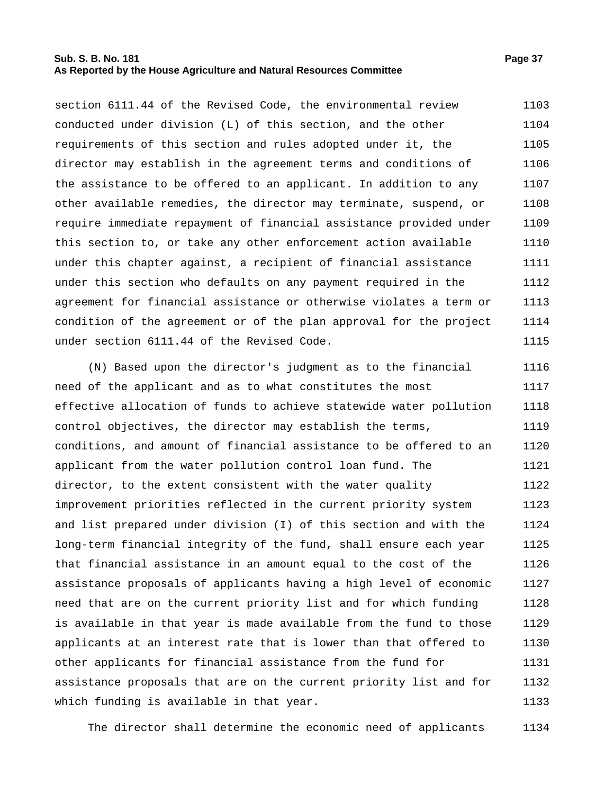#### **Sub. S. B. No. 181 Page 37 As Reported by the House Agriculture and Natural Resources Committee**

section 6111.44 of the Revised Code, the environmental review conducted under division (L) of this section, and the other requirements of this section and rules adopted under it, the director may establish in the agreement terms and conditions of the assistance to be offered to an applicant. In addition to any other available remedies, the director may terminate, suspend, or require immediate repayment of financial assistance provided under this section to, or take any other enforcement action available under this chapter against, a recipient of financial assistance under this section who defaults on any payment required in the agreement for financial assistance or otherwise violates a term or condition of the agreement or of the plan approval for the project under section 6111.44 of the Revised Code. 1103 1104 1105 1106 1107 1108 1109 1110 1111 1112 1113 1114 1115

(N) Based upon the director's judgment as to the financial need of the applicant and as to what constitutes the most effective allocation of funds to achieve statewide water pollution control objectives, the director may establish the terms, conditions, and amount of financial assistance to be offered to an applicant from the water pollution control loan fund. The director, to the extent consistent with the water quality improvement priorities reflected in the current priority system and list prepared under division (I) of this section and with the long-term financial integrity of the fund, shall ensure each year that financial assistance in an amount equal to the cost of the assistance proposals of applicants having a high level of economic need that are on the current priority list and for which funding is available in that year is made available from the fund to those applicants at an interest rate that is lower than that offered to other applicants for financial assistance from the fund for assistance proposals that are on the current priority list and for which funding is available in that year. 1116 1117 1118 1119 1120 1121 1122 1123 1124 1125 1126 1127 1128 1129 1130 1131 1132 1133

The director shall determine the economic need of applicants 1134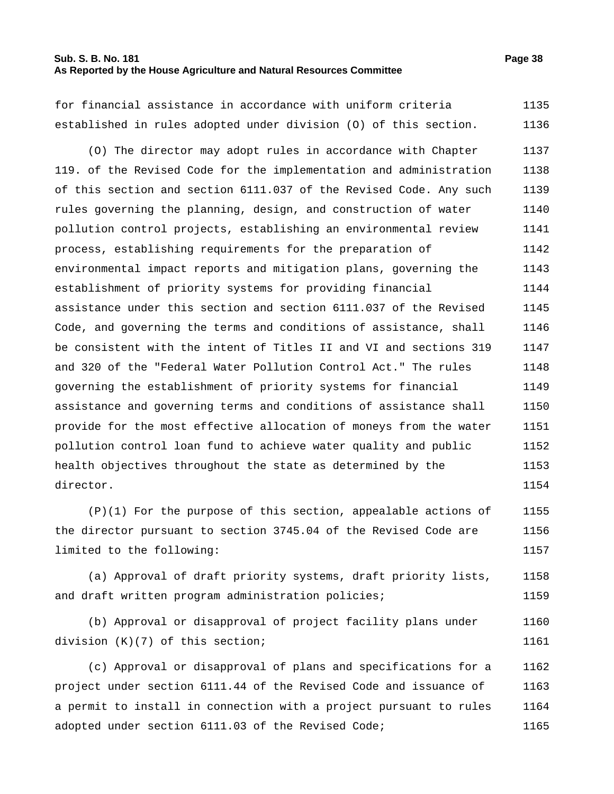#### **Sub. S. B. No. 181 Page 38 As Reported by the House Agriculture and Natural Resources Committee**

for financial assistance in accordance with uniform criteria established in rules adopted under division (O) of this section. 1135 1136

(O) The director may adopt rules in accordance with Chapter 119. of the Revised Code for the implementation and administration of this section and section 6111.037 of the Revised Code. Any such rules governing the planning, design, and construction of water pollution control projects, establishing an environmental review process, establishing requirements for the preparation of environmental impact reports and mitigation plans, governing the establishment of priority systems for providing financial assistance under this section and section 6111.037 of the Revised Code, and governing the terms and conditions of assistance, shall be consistent with the intent of Titles II and VI and sections 319 and 320 of the "Federal Water Pollution Control Act." The rules governing the establishment of priority systems for financial assistance and governing terms and conditions of assistance shall provide for the most effective allocation of moneys from the water pollution control loan fund to achieve water quality and public health objectives throughout the state as determined by the director. 1137 1138 1139 1140 1141 1142 1143 1144 1145 1146 1147 1148 1149 1150 1151 1152 1153 1154

(P)(1) For the purpose of this section, appealable actions of the director pursuant to section 3745.04 of the Revised Code are limited to the following: 1155 1156 1157

(a) Approval of draft priority systems, draft priority lists, and draft written program administration policies; 1158 1159

(b) Approval or disapproval of project facility plans under division (K)(7) of this section; 1160 1161

(c) Approval or disapproval of plans and specifications for a project under section 6111.44 of the Revised Code and issuance of a permit to install in connection with a project pursuant to rules adopted under section 6111.03 of the Revised Code; 1162 1163 1164 1165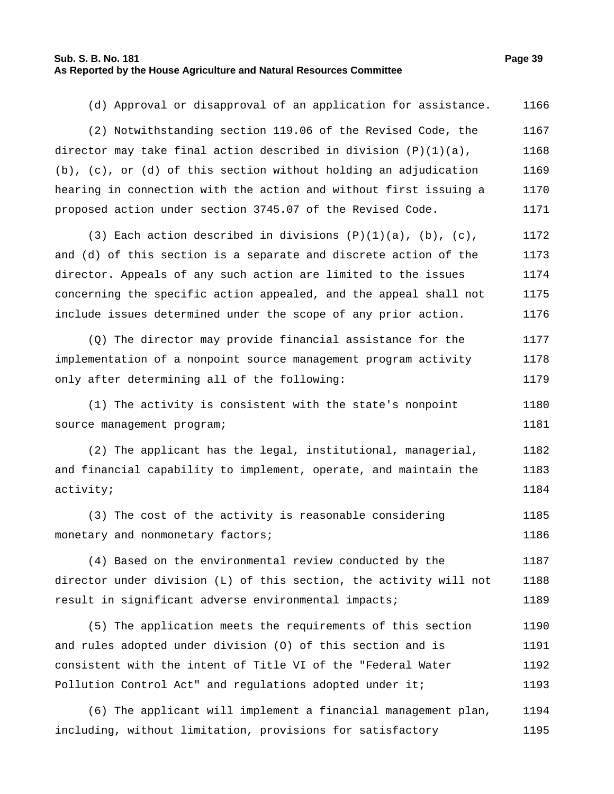#### **Sub. S. B. No. 181 Page 39 As Reported by the House Agriculture and Natural Resources Committee**

(d) Approval or disapproval of an application for assistance. 1166

(2) Notwithstanding section 119.06 of the Revised Code, the director may take final action described in division  $(P)(1)(a)$ , (b), (c), or (d) of this section without holding an adjudication hearing in connection with the action and without first issuing a proposed action under section 3745.07 of the Revised Code. 1167 1168 1169 1170 1171

(3) Each action described in divisions  $(P)(1)(a)$ ,  $(b)$ ,  $(c)$ , and (d) of this section is a separate and discrete action of the director. Appeals of any such action are limited to the issues concerning the specific action appealed, and the appeal shall not include issues determined under the scope of any prior action. 1172 1173 1174 1175 1176

(Q) The director may provide financial assistance for the implementation of a nonpoint source management program activity only after determining all of the following: 1177 1178 1179

(1) The activity is consistent with the state's nonpoint source management program; 1180 1181

(2) The applicant has the legal, institutional, managerial, and financial capability to implement, operate, and maintain the activity; 1182 1183 1184

(3) The cost of the activity is reasonable considering monetary and nonmonetary factors; 1185 1186

(4) Based on the environmental review conducted by the director under division (L) of this section, the activity will not result in significant adverse environmental impacts; 1187 1188 1189

(5) The application meets the requirements of this section and rules adopted under division (O) of this section and is consistent with the intent of Title VI of the "Federal Water Pollution Control Act" and regulations adopted under it; 1190 1191 1192 1193

(6) The applicant will implement a financial management plan, including, without limitation, provisions for satisfactory 1194 1195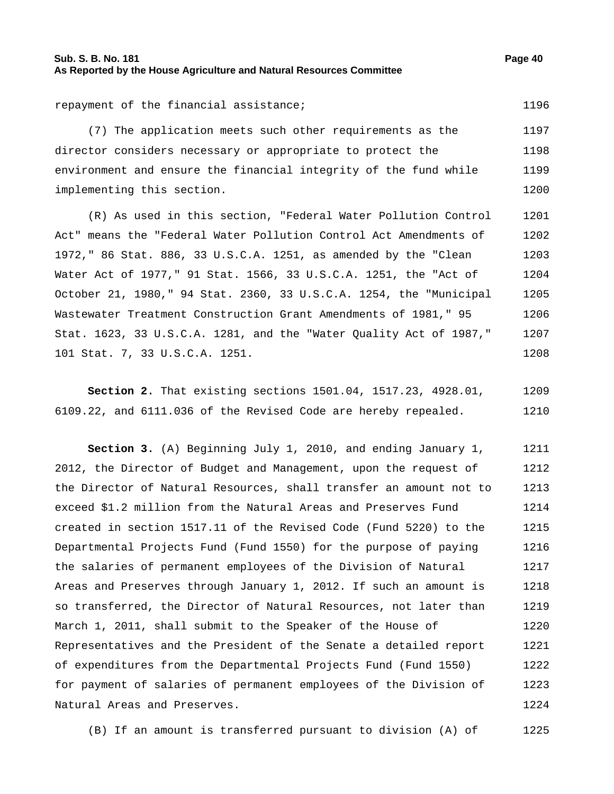#### **Sub. S. B. No. 181 Page 40 As Reported by the House Agriculture and Natural Resources Committee**

repayment of the financial assistance; the state of the financial assistance; the state of the state of the state of the state of the state of the state of the state of the state of the state of the state of the state of t

(7) The application meets such other requirements as the director considers necessary or appropriate to protect the environment and ensure the financial integrity of the fund while implementing this section. 1197 1198 1199 1200

(R) As used in this section, "Federal Water Pollution Control Act" means the "Federal Water Pollution Control Act Amendments of 1972," 86 Stat. 886, 33 U.S.C.A. 1251, as amended by the "Clean Water Act of 1977," 91 Stat. 1566, 33 U.S.C.A. 1251, the "Act of October 21, 1980," 94 Stat. 2360, 33 U.S.C.A. 1254, the "Municipal Wastewater Treatment Construction Grant Amendments of 1981," 95 Stat. 1623, 33 U.S.C.A. 1281, and the "Water Quality Act of 1987," 101 Stat. 7, 33 U.S.C.A. 1251. 1201 1202 1203 1204 1205 1206 1207 1208

**Section 2.** That existing sections 1501.04, 1517.23, 4928.01, 6109.22, and 6111.036 of the Revised Code are hereby repealed. 1209 1210

**Section 3.** (A) Beginning July 1, 2010, and ending January 1, 2012, the Director of Budget and Management, upon the request of the Director of Natural Resources, shall transfer an amount not to exceed \$1.2 million from the Natural Areas and Preserves Fund created in section 1517.11 of the Revised Code (Fund 5220) to the Departmental Projects Fund (Fund 1550) for the purpose of paying the salaries of permanent employees of the Division of Natural Areas and Preserves through January 1, 2012. If such an amount is so transferred, the Director of Natural Resources, not later than March 1, 2011, shall submit to the Speaker of the House of Representatives and the President of the Senate a detailed report of expenditures from the Departmental Projects Fund (Fund 1550) for payment of salaries of permanent employees of the Division of Natural Areas and Preserves. 1211 1212 1213 1214 1215 1216 1217 1218 1219 1220 1221 1222 1223 1224

(B) If an amount is transferred pursuant to division (A) of 1225